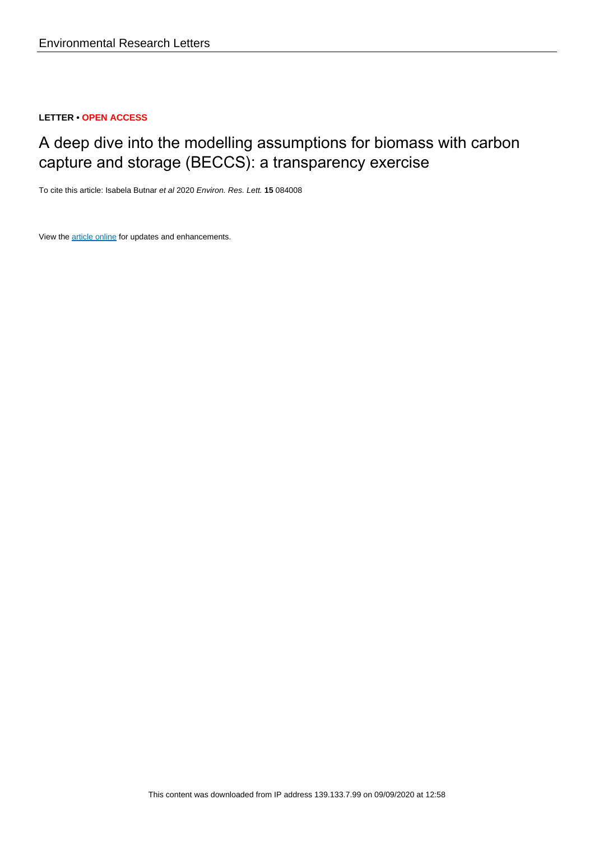## **LETTER • OPEN ACCESS**

# A deep dive into the modelling assumptions for biomass with carbon capture and storage (BECCS): a transparency exercise

To cite this article: Isabela Butnar et al 2020 Environ. Res. Lett. **15** 084008

View the [article online](https://doi.org/10.1088/1748-9326/ab5c3e) for updates and enhancements.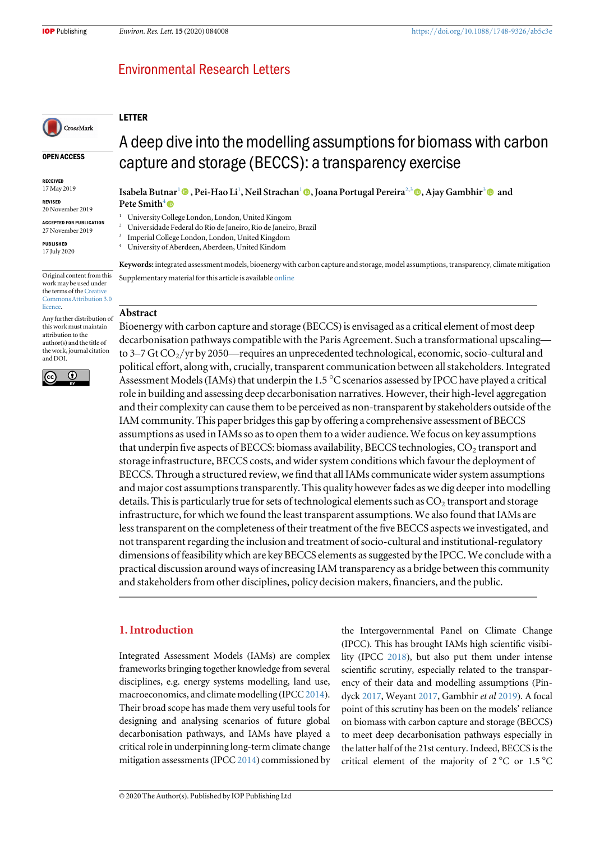## **Environmental Research Letters**

## LETTER

CrossMark

#### OPEN ACCESS

RECEIVED 17 May 2019

REVISED

- 20 November 2019 ACCEPTED FOR PUBLICATION
- 27 November 2019

PUBLISHED 17 July 2020

Original content from this work may be used under the terms of the [Creative](http://creativecommons.org/licenses/by/3.0) [Commons Attribution 3.0](http://creativecommons.org/licenses/by/3.0) [licence.](http://creativecommons.org/licenses/by/3.0)

Any further distribution of this work must maintain attribution to the author(s) and the title of the work, journal citation and DOI.



Isabela Butnar<sup>1</sup> (@)[,](https://orcid.org/0000-0003-1260-6950) Pei-Hao Li<sup>1</sup>, Neil Strachan<sup>1</sup> (@), Joana Portugal Pereira<sup>2,3</sup> (@), Ajay Gambhir<sup>3</sup> (@) and Pete Smith $4\blacksquare$ 

capture and storage (BECCS): a transparency exercise

A deep dive into the modelling assumptions for biomass with carbon

<sup>1</sup> University College London, London, United Kingom

- <sup>2</sup> Universidade Federal do Rio de Janeiro, Rio de Janeiro, Brazil
- <sup>3</sup> Imperial College London, London, United Kingdom
- <sup>4</sup> University of Aberdeen, Aberdeen, United Kindom

Keywords: integrated assessment models, bioenergy with carbon capture and storage, model assumptions, transparency, climate mitigation Supplementary material for this article is available [online](https://doi.org/10.1088/1748-9326/ab5c3e)

#### Abstract

Bioenergy with carbon capture and storage (BECCS) is envisaged as a critical element of most deep decarbonisation pathways compatible with the Paris Agreement. Such a transformational upscaling to 3–7 Gt  $CO_2$ /yr by 2050—requires an unprecedented technological, economic, socio-cultural and political effort, along with, crucially, transparent communication between all stakeholders. Integrated Assessment Models (IAMs) that underpin the 1.5  $\degree$ C scenarios assessed by IPCC have played a critical role in building and assessing deep decarbonisation narratives. However, their high-level aggregation and their complexity can cause them to be perceived as non-transparent by stakeholders outside of the IAM community. This paper bridges this gap by offering a comprehensive assessment of BECCS assumptions as used in IAMs so as to open them to a wider audience. We focus on key assumptions that underpin five aspects of BECCS: biomass availability, BECCS technologies, CO<sub>2</sub> transport and storage infrastructure, BECCS costs, and wider system conditions which favour the deployment of BECCS. Through a structured review, we find that all IAMs communicate wider system assumptions and major cost assumptions transparently. This quality however fades as we dig deeper into modelling details. This is particularly true for sets of technological elements such as  $CO<sub>2</sub>$  transport and storage infrastructure, for which we found the least transparent assumptions. We also found that IAMs are less transparent on the completeness of their treatment of the five BECCS aspects we investigated, and not transparent regarding the inclusion and treatment of socio-cultural and institutional-regulatory dimensions of feasibility which are key BECCS elements as suggested by the IPCC. We conclude with a practical discussion around ways of increasing IAM transparency as a bridge between this community and stakeholders from other disciplines, policy decision makers, financiers, and the public.

## 1. Introduction

Integrated Assessment Models (IAMs) are complex frameworks bringing together knowledge from several disciplines, e.g. energy systems modelling, land use, macroeconomics, and climate modelling (IPCC [2014](#page-13-0)). Their broad scope has made them very useful tools for designing and analysing scenarios of future global decarbonisation pathways, and IAMs have played a critical role in underpinning long-term climate change mitigation assessments (IPCC [2014](#page-13-0)) commissioned by the Intergovernmental Panel on Climate Change (IPCC). This has brought IAMs high scientific visibility (IPCC [2018](#page-13-0)), but also put them under intense scientific scrutiny, especially related to the transparency of their data and modelling assumptions (Pindyck [2017](#page-14-0), Weyant [2017,](#page-14-0) Gambhir et al [2019](#page-13-0)). A focal point of this scrutiny has been on the models' reliance on biomass with carbon capture and storage (BECCS) to meet deep decarbonisation pathways especially in the latter half of the 21st century. Indeed, BECCS is the critical element of the majority of  $2^{\circ}$ C or  $1.5^{\circ}$ C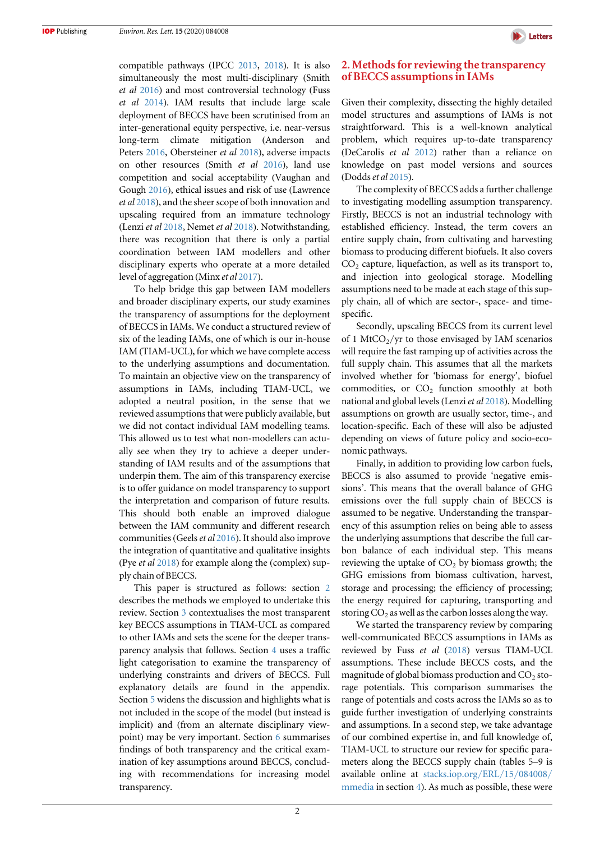compatible pathways (IPCC [2013,](#page-13-0) [2018](#page-13-0)). It is also simultaneously the most multi-disciplinary (Smith et al [2016](#page-14-0)) and most controversial technology (Fuss et al [2014](#page-13-0)). IAM results that include large scale deployment of BECCS have been scrutinised from an inter-generational equity perspective, i.e. near-versus long-term climate mitigation (Anderson and Peters [2016](#page-12-0), Obersteiner et al [2018](#page-14-0)), adverse impacts on other resources (Smith et al [2016](#page-14-0)), land use competition and social acceptability (Vaughan and Gough [2016](#page-14-0)), ethical issues and risk of use (Lawrence et al [2018](#page-14-0)), and the sheer scope of both innovation and upscaling required from an immature technology (Lenzi et al [2018,](#page-14-0) Nemet et al [2018](#page-14-0)). Notwithstanding, there was recognition that there is only a partial coordination between IAM modellers and other disciplinary experts who operate at a more detailed level of aggregation (Minx et al [2017](#page-14-0)).

To help bridge this gap between IAM modellers and broader disciplinary experts, our study examines the transparency of assumptions for the deployment of BECCS in IAMs. We conduct a structured review of six of the leading IAMs, one of which is our in-house IAM (TIAM-UCL), for which we have complete access to the underlying assumptions and documentation. To maintain an objective view on the transparency of assumptions in IAMs, including TIAM-UCL, we adopted a neutral position, in the sense that we reviewed assumptions that were publicly available, but we did not contact individual IAM modelling teams. This allowed us to test what non-modellers can actually see when they try to achieve a deeper understanding of IAM results and of the assumptions that underpin them. The aim of this transparency exercise is to offer guidance on model transparency to support the interpretation and comparison of future results. This should both enable an improved dialogue between the IAM community and different research communities (Geelset al [2016](#page-13-0)). It should also improve the integration of quantitative and qualitative insights (Pye et al [2018](#page-14-0)) for example along the (complex) supply chain of BECCS.

This paper is structured as follows: section 2 describes the methods we employed to undertake this review. Section [3](#page-3-0) contextualises the most transparent key BECCS assumptions in TIAM-UCL as compared to other IAMs and sets the scene for the deeper transparency analysis that follows. Section [4](#page-5-0) uses a traffic light categorisation to examine the transparency of underlying constraints and drivers of BECCS. Full explanatory details are found in the appendix. Section [5](#page-9-0) widens the discussion and highlights what is not included in the scope of the model (but instead is implicit) and (from an alternate disciplinary viewpoint) may be very important. Section [6](#page-10-0) summarises findings of both transparency and the critical examination of key assumptions around BECCS, concluding with recommendations for increasing model transparency.

## 2. Methods for reviewing the transparency of BECCS assumptions in IAMs

Given their complexity, dissecting the highly detailed model structures and assumptions of IAMs is not straightforward. This is a well-known analytical problem, which requires up-to-date transparency (DeCarolis et al [2012](#page-12-0)) rather than a reliance on knowledge on past model versions and sources (Doddset al [2015](#page-12-0)).

The complexity of BECCS adds a further challenge to investigating modelling assumption transparency. Firstly, BECCS is not an industrial technology with established efficiency. Instead, the term covers an entire supply chain, from cultivating and harvesting biomass to producing different biofuels. It also covers  $CO<sub>2</sub>$  capture, liquefaction, as well as its transport to, and injection into geological storage. Modelling assumptions need to be made at each stage of this supply chain, all of which are sector-, space- and timespecific.

Secondly, upscaling BECCS from its current level of 1 MtCO $<sub>2</sub>/yr$  to those envisaged by IAM scenarios</sub> will require the fast ramping up of activities across the full supply chain. This assumes that all the markets involved whether for 'biomass for energy', biofuel commodities, or  $CO<sub>2</sub>$  function smoothly at both national and global levels (Lenzi et al [2018](#page-14-0)). Modelling assumptions on growth are usually sector, time-, and location-specific. Each of these will also be adjusted depending on views of future policy and socio-economic pathways.

Finally, in addition to providing low carbon fuels, BECCS is also assumed to provide 'negative emissions'. This means that the overall balance of GHG emissions over the full supply chain of BECCS is assumed to be negative. Understanding the transparency of this assumption relies on being able to assess the underlying assumptions that describe the full carbon balance of each individual step. This means reviewing the uptake of  $CO<sub>2</sub>$  by biomass growth; the GHG emissions from biomass cultivation, harvest, storage and processing; the efficiency of processing; the energy required for capturing, transporting and storing  $CO<sub>2</sub>$  as well as the carbon losses along the way.

We started the transparency review by comparing well-communicated BECCS assumptions in IAMs as reviewed by Fuss et al ([2018](#page-13-0)) versus TIAM-UCL assumptions. These include BECCS costs, and the magnitude of global biomass production and  $CO<sub>2</sub>$  storage potentials. This comparison summarises the range of potentials and costs across the IAMs so as to guide further investigation of underlying constraints and assumptions. In a second step, we take advantage of our combined expertise in, and full knowledge of, TIAM-UCL to structure our review for specific parameters along the BECCS supply chain (tables 5–9 is available online at [stacks.iop.org](http://stacks.iop.org/ERL/15/084008/mmedia)/ERL/15/084008/ [mmedia](http://stacks.iop.org/ERL/15/084008/mmedia) in section [4](#page-5-0)). As much as possible, these were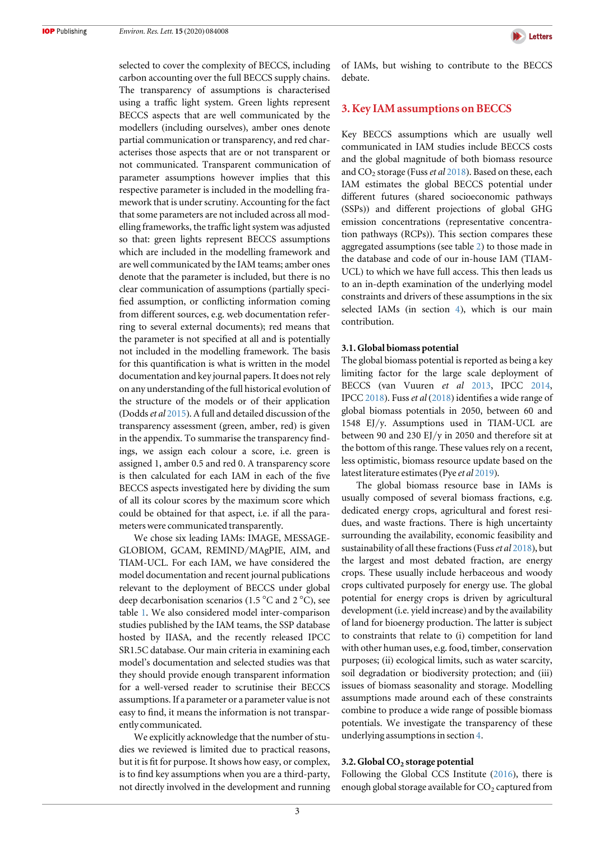**Letters** 

<span id="page-3-0"></span>selected to cover the complexity of BECCS, including carbon accounting over the full BECCS supply chains. The transparency of assumptions is characterised using a traffic light system. Green lights represent BECCS aspects that are well communicated by the modellers (including ourselves), amber ones denote partial communication or transparency, and red characterises those aspects that are or not transparent or not communicated. Transparent communication of parameter assumptions however implies that this respective parameter is included in the modelling framework that is under scrutiny. Accounting for the fact that some parameters are not included across all modelling frameworks, the traffic light system was adjusted so that: green lights represent BECCS assumptions which are included in the modelling framework and are well communicated by the IAM teams; amber ones denote that the parameter is included, but there is no clear communication of assumptions (partially specified assumption, or conflicting information coming from different sources, e.g. web documentation referring to several external documents); red means that the parameter is not specified at all and is potentially not included in the modelling framework. The basis for this quantification is what is written in the model documentation and key journal papers. It does not rely on any understanding of the full historical evolution of the structure of the models or of their application (Dodds et al [2015](#page-12-0)). A full and detailed discussion of the transparency assessment (green, amber, red) is given in the appendix. To summarise the transparency findings, we assign each colour a score, i.e. green is assigned 1, amber 0.5 and red 0. A transparency score is then calculated for each IAM in each of the five BECCS aspects investigated here by dividing the sum of all its colour scores by the maximum score which could be obtained for that aspect, i.e. if all the parameters were communicated transparently.

We chose six leading IAMs: IMAGE, MESSAGE-GLOBIOM, GCAM, REMIND/MAgPIE, AIM, and TIAM-UCL. For each IAM, we have considered the model documentation and recent journal publications relevant to the deployment of BECCS under global deep decarbonisation scenarios (1.5  $\mathrm{^{\circ}C}$  and 2  $\mathrm{^{\circ}C}$ ), see table [1.](#page-4-0) We also considered model inter-comparison studies published by the IAM teams, the SSP database hosted by IIASA, and the recently released IPCC SR1.5C database. Our main criteria in examining each model's documentation and selected studies was that they should provide enough transparent information for a well-versed reader to scrutinise their BECCS assumptions. If a parameter or a parameter value is not easy to find, it means the information is not transparently communicated.

We explicitly acknowledge that the number of studies we reviewed is limited due to practical reasons, but it is fit for purpose. It shows how easy, or complex, is to find key assumptions when you are a third-party, not directly involved in the development and running of IAMs, but wishing to contribute to the BECCS debate.

## 3. Key IAM assumptions on BECCS

Key BECCS assumptions which are usually well communicated in IAM studies include BECCS costs and the global magnitude of both biomass resource and  $CO_2$  storage (Fuss *et al* [2018](#page-13-0)). Based on these, each IAM estimates the global BECCS potential under different futures (shared socioeconomic pathways (SSPs)) and different projections of global GHG emission concentrations (representative concentration pathways (RCPs)). This section compares these aggregated assumptions (see table [2](#page-5-0)) to those made in the database and code of our in-house IAM (TIAM-UCL) to which we have full access. This then leads us to an in-depth examination of the underlying model constraints and drivers of these assumptions in the six selected IAMs (in section [4](#page-5-0)), which is our main contribution.

#### 3.1. Global biomass potential

The global biomass potential is reported as being a key limiting factor for the large scale deployment of BECCS (van Vuuren et al [2013](#page-14-0), IPCC [2014](#page-13-0), IPCC [2018](#page-13-0)). Fuss et al ([2018](#page-13-0)) identifies a wide range of global biomass potentials in 2050, between 60 and 1548 EJ/y. Assumptions used in TIAM-UCL are between 90 and 230 EJ/y in 2050 and therefore sit at the bottom of this range. These values rely on a recent, less optimistic, biomass resource update based on the latest literature estimates (Pye et al [2019](#page-14-0)).

The global biomass resource base in IAMs is usually composed of several biomass fractions, e.g. dedicated energy crops, agricultural and forest residues, and waste fractions. There is high uncertainty surrounding the availability, economic feasibility and sustainability of all these fractions (Fuss et al [2018](#page-13-0)), but the largest and most debated fraction, are energy crops. These usually include herbaceous and woody crops cultivated purposely for energy use. The global potential for energy crops is driven by agricultural development (i.e. yield increase) and by the availability of land for bioenergy production. The latter is subject to constraints that relate to (i) competition for land with other human uses, e.g. food, timber, conservation purposes; (ii) ecological limits, such as water scarcity, soil degradation or biodiversity protection; and (iii) issues of biomass seasonality and storage. Modelling assumptions made around each of these constraints combine to produce a wide range of possible biomass potentials. We investigate the transparency of these underlying assumptions in section [4](#page-5-0).

#### 3.2. Global CO<sub>2</sub> storage potential

Following the Global CCS Institute ([2016](#page-13-0)), there is enough global storage available for  $CO<sub>2</sub>$  captured from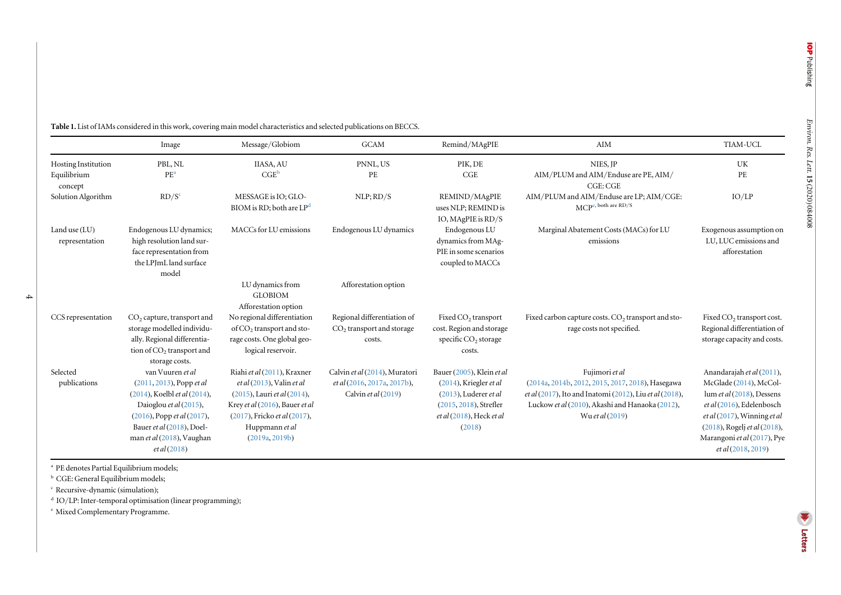|                                   | Image                                                                                                                                                                                                                   | Message/Globiom                                                                                                                                                                                         | <b>GCAM</b>                                                                           | Remind/MAgPIE                                                                                                                                       | AIM                                                                                                                                                                                                               | TIAM-UCL                                                                                                                                                                                                                                 |
|-----------------------------------|-------------------------------------------------------------------------------------------------------------------------------------------------------------------------------------------------------------------------|---------------------------------------------------------------------------------------------------------------------------------------------------------------------------------------------------------|---------------------------------------------------------------------------------------|-----------------------------------------------------------------------------------------------------------------------------------------------------|-------------------------------------------------------------------------------------------------------------------------------------------------------------------------------------------------------------------|------------------------------------------------------------------------------------------------------------------------------------------------------------------------------------------------------------------------------------------|
| Hosting Institution               | PBL, NL                                                                                                                                                                                                                 | <b>IIASA, AU</b>                                                                                                                                                                                        | PNNL, US                                                                              | PIK, DE                                                                                                                                             | NIES, JP                                                                                                                                                                                                          | UK                                                                                                                                                                                                                                       |
| Equilibrium<br>concept            | PE <sup>a</sup>                                                                                                                                                                                                         | $CGE^b$                                                                                                                                                                                                 | PE                                                                                    | CGE                                                                                                                                                 | AIM/PLUM and AIM/Enduse are PE, AIM/<br>CGE: CGE                                                                                                                                                                  | PE                                                                                                                                                                                                                                       |
| Solution Algorithm                | RD/S <sup>c</sup>                                                                                                                                                                                                       | MESSAGE is IO; GLO-<br>BIOM is RD; both are LP <sup>d</sup>                                                                                                                                             | NLP; RD/S                                                                             | REMIND/MAgPIE<br>uses NLP; REMIND is<br>IO, MAgPIE is $RD/S$                                                                                        | AIM/PLUM and AIM/Enduse are LP; AIM/CGE:<br>$\text{MCP}^{\text{e, both are RD/S}}$                                                                                                                                | IO/LP                                                                                                                                                                                                                                    |
| Land use $(LU)$<br>representation | Endogenous LU dynamics;<br>high resolution land sur-<br>face representation from<br>the LPJmL land surface<br>model                                                                                                     | MACCs for LU emissions                                                                                                                                                                                  | Endogenous LU dynamics                                                                | Endogenous LU<br>dynamics from MAg-<br>PIE in some scenarios<br>coupled to MACCs                                                                    | Marginal Abatement Costs (MACs) for LU<br>emissions                                                                                                                                                               | Exogenous assumption on<br>LU, LUC emissions and<br>afforestation                                                                                                                                                                        |
|                                   |                                                                                                                                                                                                                         | LU dynamics from<br><b>GLOBIOM</b><br>Afforestation option                                                                                                                                              | Afforestation option                                                                  |                                                                                                                                                     |                                                                                                                                                                                                                   |                                                                                                                                                                                                                                          |
| CCS representation                | CO <sub>2</sub> capture, transport and<br>storage modelled individu-<br>ally. Regional differentia-<br>tion of CO <sub>2</sub> transport and<br>storage costs.                                                          | No regional differentiation<br>of $CO2$ transport and sto-<br>rage costs. One global geo-<br>logical reservoir.                                                                                         | Regional differentiation of<br>$CO2$ transport and storage<br>costs.                  | Fixed $CO2$ transport<br>cost. Region and storage<br>specific $CO2$ storage<br>costs.                                                               | Fixed carbon capture costs. CO <sub>2</sub> transport and sto-<br>rage costs not specified.                                                                                                                       | Fixed CO <sub>2</sub> transport cost.<br>Regional differentiation of<br>storage capacity and costs.                                                                                                                                      |
| Selected<br>publications          | van Vuuren et al<br>$(2011, 2013)$ , Popp et al<br>(2014), Koelbl et al (2014),<br>Daioglou et al (2015),<br>$(2016)$ , Popp et al $(2017)$ ,<br>Bauer et al (2018), Doel-<br>man et al (2018), Vaughan<br>et al (2018) | Riahi et al (2011), Kraxner<br>$et al(2013)$ , Valin $et al$<br>$(2015)$ , Lauri et al $(2014)$ ,<br>Krey et al (2016), Bauer et al<br>(2017), Fricko et al (2017),<br>Huppmann et al<br>(2019a, 2019b) | Calvin et al (2014), Muratori<br>et al (2016, 2017a, 2017b),<br>Calvin et al $(2019)$ | Bauer (2005), Klein et al<br>(2014), Kriegler et al<br>$(2013)$ , Luderer et al<br>(2015, 2018), Strefler<br>$et al(2018)$ , Heck $et al$<br>(2018) | Fujimori et al<br>(2014a, 2014b, 2012, 2015, 2017, 2018), Hasegawa<br><i>et al</i> (2017), Ito and Inatomi (2012), Liu <i>et al</i> (2018),<br>Luckow et al (2010), Akashi and Hanaoka (2012),<br>Wu et al (2019) | Anandarajah et al (2011),<br>McGlade (2014), McCol-<br>lum et al $(2018)$ , Dessens<br>et al (2016), Edelenbosch<br>$et al(2017)$ , Winning $et al$<br>(2018), Rogelj et al (2018),<br>Marangoni et al (2017), Pye<br>et al (2018, 2019) |

<span id="page-4-0"></span>Table 1. List of IAMs considered in this work, covering main model characteristics and selected publications on BECCS.

<sup>a</sup> PE denotes Partial Equilibrium models;

**b** CGE: General Equilibrium models;

c Recursive-dynamic (simulation);

4

d IO/LP: Inter-temporal optimisation (linear programming);

e Mixed Complementary Programme.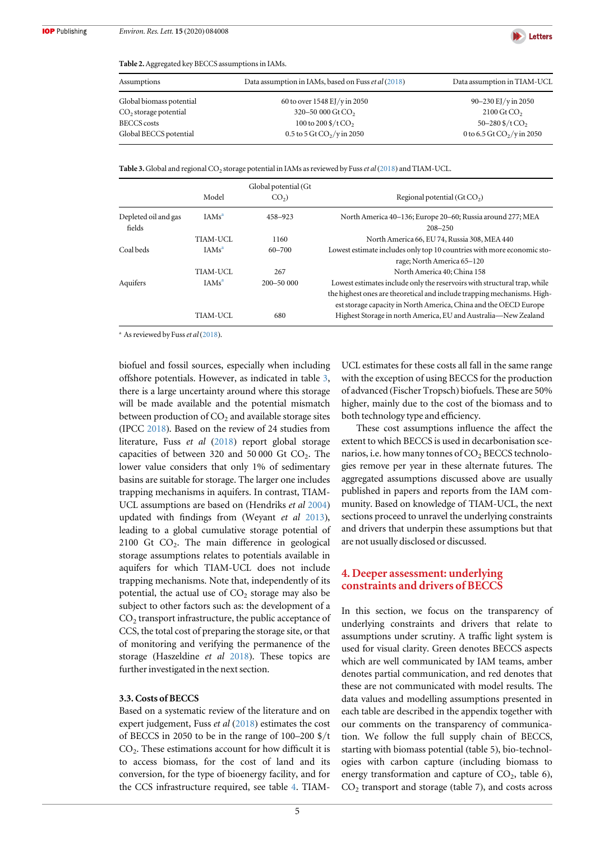

<span id="page-5-0"></span>Table 2. Aggregated key BECCS assumptions in IAMs.

| Data assumption in IAMs, based on Fuss et al (2018)   | Data assumption in TIAM-UCL          |
|-------------------------------------------------------|--------------------------------------|
| 60 to over 1548 EJ/y in 2050                          | 90–230 EJ/y in 2050                  |
| 320-50 000 Gt CO <sub>2</sub>                         | $2100 \,\mathrm{Gt}$ CO <sub>2</sub> |
| 100 to $200\frac{\text{S}}{\text{t}}$ CO <sub>2</sub> | $50 - 280$ \$/t CO <sub>2</sub>      |
| $0.5$ to $5$ Gt CO <sub>2</sub> /y in 2050            | 0 to 6.5 Gt $CO_2$ /y in 2050        |
|                                                       |                                      |

Table 3. Global and regional  $CO_2$  storage potential in IAMs as reviewed by Fuss et al ([2018](#page-13-0)) and TIAM-UCL.

|                                |                   | Global potential (Gt |                                                                                                                                             |
|--------------------------------|-------------------|----------------------|---------------------------------------------------------------------------------------------------------------------------------------------|
|                                | Model             | CO <sub>2</sub>      | Regional potential (Gt $CO2$ )                                                                                                              |
| Depleted oil and gas<br>fields | IAMs <sup>a</sup> | 458-923              | North America 40–136; Europe 20–60; Russia around 277; MEA<br>$208 - 250$                                                                   |
|                                | TIAM-UCL          | 1160                 | North America 66, EU 74, Russia 308, MEA 440                                                                                                |
| Coal beds                      | IAMs <sup>a</sup> | 60-700               | Lowest estimate includes only top 10 countries with more economic sto-                                                                      |
|                                |                   |                      | rage; North America 65-120                                                                                                                  |
|                                | TIAM-UCL          | 267                  | North America 40; China 158                                                                                                                 |
| Aquifers                       | IAMs <sup>a</sup> | $200 - 5000$         | Lowest estimates include only the reservoirs with structural trap, while                                                                    |
|                                |                   |                      | the highest ones are theoretical and include trapping mechanisms. High-<br>est storage capacity in North America, China and the OECD Europe |
|                                | TIAM-UCL          | 680                  | Highest Storage in north America, EU and Australia-New Zealand                                                                              |

<sup>a</sup> As reviewed by Fuss *et al* ([2018](#page-13-0)).

biofuel and fossil sources, especially when including offshore potentials. However, as indicated in table 3, there is a large uncertainty around where this storage will be made available and the potential mismatch between production of  $CO<sub>2</sub>$  and available storage sites (IPCC [2018](#page-13-0)). Based on the review of 24 studies from literature, Fuss et al ([2018](#page-13-0)) report global storage capacities of between 320 and 50 000 Gt  $CO<sub>2</sub>$ . The lower value considers that only 1% of sedimentary basins are suitable for storage. The larger one includes trapping mechanisms in aquifers. In contrast, TIAM-UCL assumptions are based on (Hendriks et al [2004](#page-13-0)) updated with findings from (Weyant et al [2013](#page-14-0)), leading to a global cumulative storage potential of  $2100$  Gt  $CO<sub>2</sub>$ . The main difference in geological storage assumptions relates to potentials available in aquifers for which TIAM-UCL does not include trapping mechanisms. Note that, independently of its potential, the actual use of  $CO<sub>2</sub>$  storage may also be subject to other factors such as: the development of a  $CO<sub>2</sub>$  transport infrastructure, the public acceptance of CCS, the total cost of preparing the storage site, or that of monitoring and verifying the permanence of the storage (Haszeldine et al [2018](#page-13-0)). These topics are further investigated in the next section.

## 3.3. Costs of BECCS

Based on a systematic review of the literature and on expert judgement, Fuss et al ([2018](#page-13-0)) estimates the cost of BECCS in 2050 to be in the range of 100–200 \$/t CO<sub>2</sub>. These estimations account for how difficult it is to access biomass, for the cost of land and its conversion, for the type of bioenergy facility, and for the CCS infrastructure required, see table [4](#page-6-0). TIAM-

UCL estimates for these costs all fall in the same range with the exception of using BECCS for the production of advanced (Fischer Tropsch) biofuels. These are 50% higher, mainly due to the cost of the biomass and to both technology type and efficiency.

These cost assumptions influence the affect the extent to which BECCS is used in decarbonisation scenarios, i.e. how many tonnes of  $CO<sub>2</sub> BECCS$  technologies remove per year in these alternate futures. The aggregated assumptions discussed above are usually published in papers and reports from the IAM community. Based on knowledge of TIAM-UCL, the next sections proceed to unravel the underlying constraints and drivers that underpin these assumptions but that are not usually disclosed or discussed.

## 4. Deeper assessment: underlying constraints and drivers of BECCS

In this section, we focus on the transparency of underlying constraints and drivers that relate to assumptions under scrutiny. A traffic light system is used for visual clarity. Green denotes BECCS aspects which are well communicated by IAM teams, amber denotes partial communication, and red denotes that these are not communicated with model results. The data values and modelling assumptions presented in each table are described in the appendix together with our comments on the transparency of communication. We follow the full supply chain of BECCS, starting with biomass potential (table 5), bio-technologies with carbon capture (including biomass to energy transformation and capture of  $CO<sub>2</sub>$ , table 6),  $CO<sub>2</sub>$  transport and storage (table 7), and costs across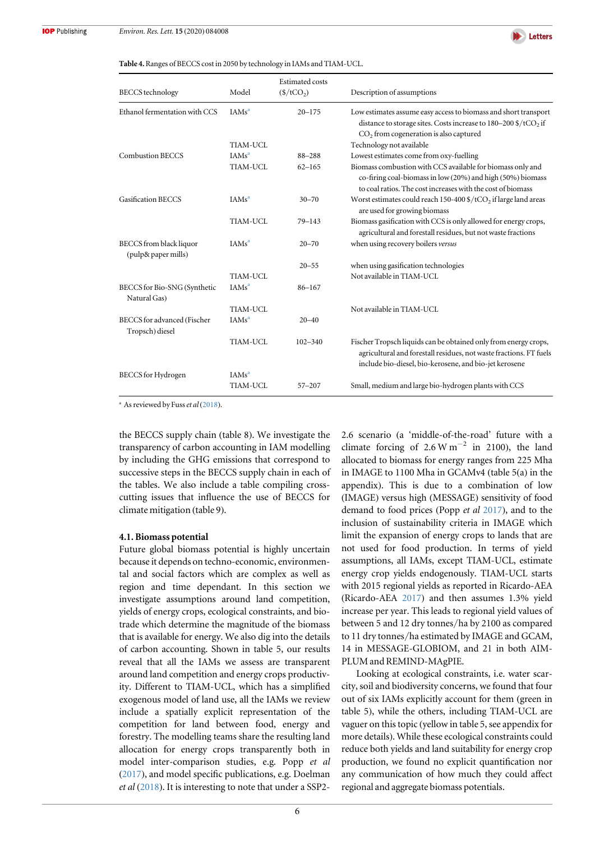

#### <span id="page-6-0"></span>Table 4. Ranges of BECCS cost in 2050 by technology in IAMs and TIAM-UCL.

| <b>BECCS</b> technology                        | Model             | <b>Estimated costs</b><br>$(\frac{\xi}{tCO_2})$ | Description of assumptions                                                                                                                                                                                                    |
|------------------------------------------------|-------------------|-------------------------------------------------|-------------------------------------------------------------------------------------------------------------------------------------------------------------------------------------------------------------------------------|
| Ethanol fermentation with CCS                  | IAMs <sup>a</sup> | $20 - 175$                                      | Low estimates assume easy access to biomass and short transport<br>distance to storage sites. Costs increase to $180-200\frac{\text{g}}{\text{C}}$ (tCO <sub>2</sub> if<br>CO <sub>2</sub> from cogeneration is also captured |
|                                                | TIAM-UCL          |                                                 | Technology not available                                                                                                                                                                                                      |
| <b>Combustion BECCS</b>                        | IAMS <sup>a</sup> | 88-288                                          | Lowest estimates come from oxy-fuelling                                                                                                                                                                                       |
|                                                | TIAM-UCL          | $62 - 165$                                      | Biomass combustion with CCS available for biomass only and<br>co-firing coal-biomass in low (20%) and high (50%) biomass<br>to coal ratios. The cost increases with the cost of biomass                                       |
| <b>Gasification BECCS</b>                      | IAMs <sup>a</sup> | $30 - 70$                                       | Worst estimates could reach 150-400 $\frac{4}{CQ_2}$ if large land areas<br>are used for growing biomass                                                                                                                      |
|                                                | <b>TIAM-UCL</b>   | $79 - 143$                                      | Biomass gasification with CCS is only allowed for energy crops,<br>agricultural and forestall residues, but not waste fractions                                                                                               |
| BECCS from black liquor<br>(pulp& paper mills) | IAMS <sup>a</sup> | $20 - 70$                                       | when using recovery boilers versus                                                                                                                                                                                            |
|                                                |                   | $20 - 55$                                       | when using gasification technologies                                                                                                                                                                                          |
|                                                | TIAM-UCL          |                                                 | Not available in TIAM-UCL                                                                                                                                                                                                     |
| BECCS for Bio-SNG (Synthetic<br>Natural Gas)   | IAMS <sup>a</sup> | $86 - 167$                                      |                                                                                                                                                                                                                               |
|                                                | TIAM-UCL          |                                                 | Not available in TIAM-UCL                                                                                                                                                                                                     |
| BECCS for advanced (Fischer<br>Tropsch) diesel | IAMS <sup>a</sup> | $20 - 40$                                       |                                                                                                                                                                                                                               |
|                                                | TIAM-UCL          | $102 - 340$                                     | Fischer Tropsch liquids can be obtained only from energy crops,<br>agricultural and forestall residues, not waste fractions. FT fuels<br>include bio-diesel, bio-kerosene, and bio-jet kerosene                               |
| <b>BECCS</b> for Hydrogen                      | IAMS <sup>a</sup> |                                                 |                                                                                                                                                                                                                               |
|                                                | TIAM-UCL          | $57 - 207$                                      | Small, medium and large bio-hydrogen plants with CCS                                                                                                                                                                          |

<sup>a</sup> As reviewed by Fuss *et al* ([2018](#page-13-0)).

the BECCS supply chain (table 8). We investigate the transparency of carbon accounting in IAM modelling by including the GHG emissions that correspond to successive steps in the BECCS supply chain in each of the tables. We also include a table compiling crosscutting issues that influence the use of BECCS for climate mitigation (table 9).

#### 4.1. Biomass potential

Future global biomass potential is highly uncertain because it depends on techno-economic, environmental and social factors which are complex as well as region and time dependant. In this section we investigate assumptions around land competition, yields of energy crops, ecological constraints, and biotrade which determine the magnitude of the biomass that is available for energy. We also dig into the details of carbon accounting. Shown in table 5, our results reveal that all the IAMs we assess are transparent around land competition and energy crops productivity. Different to TIAM-UCL, which has a simplified exogenous model of land use, all the IAMs we review include a spatially explicit representation of the competition for land between food, energy and forestry. The modelling teams share the resulting land allocation for energy crops transparently both in model inter-comparison studies, e.g. Popp et al ([2017](#page-14-0)), and model specific publications, e.g. Doelman et al ([2018](#page-13-0)). It is interesting to note that under a SSP22.6 scenario (a 'middle-of-the-road' future with a climate forcing of  $2.6 W m^{-2}$  in 2100), the land allocated to biomass for energy ranges from 225 Mha in IMAGE to 1100 Mha in GCAMv4 (table 5(a) in the appendix). This is due to a combination of low (IMAGE) versus high (MESSAGE) sensitivity of food demand to food prices (Popp et al [2017](#page-14-0)), and to the inclusion of sustainability criteria in IMAGE which limit the expansion of energy crops to lands that are not used for food production. In terms of yield assumptions, all IAMs, except TIAM-UCL, estimate energy crop yields endogenously. TIAM-UCL starts with 2015 regional yields as reported in Ricardo-AEA (Ricardo-AEA [2017](#page-14-0)) and then assumes 1.3% yield increase per year. This leads to regional yield values of between 5 and 12 dry tonnes/ha by 2100 as compared to 11 dry tonnes/ha estimated by IMAGE and GCAM, 14 in MESSAGE-GLOBIOM, and 21 in both AIM-PLUM and REMIND-MAgPIE.

Looking at ecological constraints, i.e. water scarcity, soil and biodiversity concerns, we found that four out of six IAMs explicitly account for them (green in table 5), while the others, including TIAM-UCL are vaguer on this topic (yellow in table 5, see appendix for more details). While these ecological constraints could reduce both yields and land suitability for energy crop production, we found no explicit quantification nor any communication of how much they could affect regional and aggregate biomass potentials.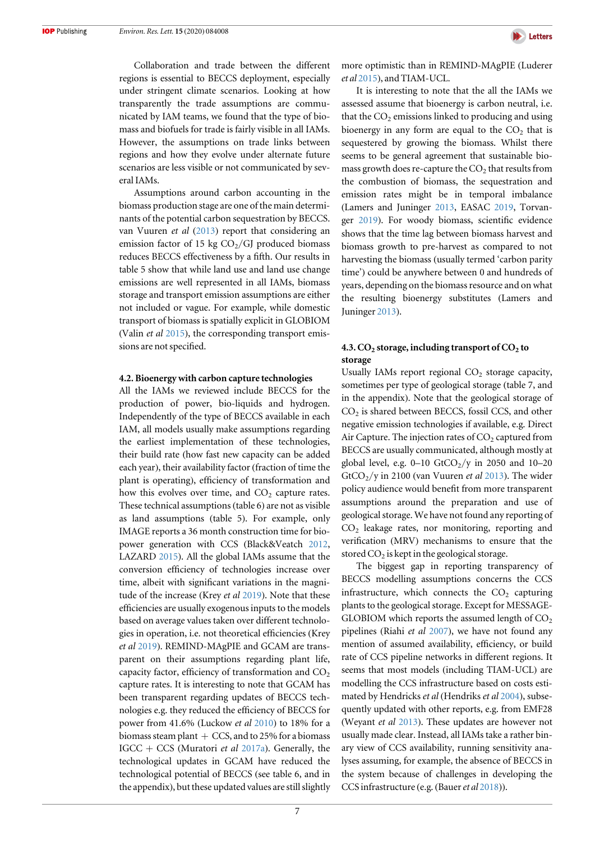Collaboration and trade between the different regions is essential to BECCS deployment, especially under stringent climate scenarios. Looking at how transparently the trade assumptions are communicated by IAM teams, we found that the type of biomass and biofuels for trade is fairly visible in all IAMs. However, the assumptions on trade links between regions and how they evolve under alternate future scenarios are less visible or not communicated by several IAMs.

Assumptions around carbon accounting in the biomass production stage are one of the main determinants of the potential carbon sequestration by BECCS. van Vuuren et al ([2013](#page-14-0)) report that considering an emission factor of 15 kg  $CO<sub>2</sub>/GI$  produced biomass reduces BECCS effectiveness by a fifth. Our results in table 5 show that while land use and land use change emissions are well represented in all IAMs, biomass storage and transport emission assumptions are either not included or vague. For example, while domestic transport of biomass is spatially explicit in GLOBIOM (Valin et al [2015](#page-14-0)), the corresponding transport emissions are not specified.

#### 4.2. Bioenergy with carbon capture technologies

All the IAMs we reviewed include BECCS for the production of power, bio-liquids and hydrogen. Independently of the type of BECCS available in each IAM, all models usually make assumptions regarding the earliest implementation of these technologies, their build rate (how fast new capacity can be added each year), their availability factor (fraction of time the plant is operating), efficiency of transformation and how this evolves over time, and  $CO<sub>2</sub>$  capture rates. These technical assumptions (table 6) are not as visible as land assumptions (table 5). For example, only IMAGE reports a 36 month construction time for biopower generation with CCS (Black&Veatch [2012,](#page-12-0) LAZARD [2015](#page-14-0)). All the global IAMs assume that the conversion efficiency of technologies increase over time, albeit with significant variations in the magni-tude of the increase (Krey et al [2019](#page-13-0)). Note that these efficiencies are usually exogenous inputs to the models based on average values taken over different technologies in operation, i.e. not theoretical efficiencies (Krey et al [2019](#page-13-0)). REMIND-MAgPIE and GCAM are transparent on their assumptions regarding plant life, capacity factor, efficiency of transformation and  $CO<sub>2</sub>$ capture rates. It is interesting to note that GCAM has been transparent regarding updates of BECCS technologies e.g. they reduced the efficiency of BECCS for power from 41.6% (Luckow et al [2010](#page-14-0)) to 18% for a biomass steam plant  $+$  CCS, and to 25% for a biomass IGCC + CCS (Muratori *et al* [2017a](#page-14-0)). Generally, the technological updates in GCAM have reduced the technological potential of BECCS (see table 6, and in the appendix), but these updated values are still slightly



more optimistic than in REMIND-MAgPIE (Luderer et al [2015](#page-14-0)), and TIAM-UCL.

It is interesting to note that the all the IAMs we assessed assume that bioenergy is carbon neutral, i.e. that the  $CO<sub>2</sub>$  emissions linked to producing and using bioenergy in any form are equal to the  $CO<sub>2</sub>$  that is sequestered by growing the biomass. Whilst there seems to be general agreement that sustainable biomass growth does re-capture the  $CO<sub>2</sub>$  that results from the combustion of biomass, the sequestration and emission rates might be in temporal imbalance (Lamers and Juninger [2013,](#page-13-0) EASAC [2019,](#page-13-0) Torvanger [2019](#page-14-0)). For woody biomass, scientific evidence shows that the time lag between biomass harvest and biomass growth to pre-harvest as compared to not harvesting the biomass (usually termed 'carbon parity time') could be anywhere between 0 and hundreds of years, depending on the biomass resource and on what the resulting bioenergy substitutes (Lamers and Juninger [2013](#page-13-0)).

## 4.3.  $CO<sub>2</sub>$  storage, including transport of  $CO<sub>2</sub>$  to storage

Usually IAMs report regional  $CO<sub>2</sub>$  storage capacity, sometimes per type of geological storage (table 7, and in the appendix). Note that the geological storage of  $CO<sub>2</sub>$  is shared between BECCS, fossil CCS, and other negative emission technologies if available, e.g. Direct Air Capture. The injection rates of  $CO<sub>2</sub>$  captured from BECCS are usually communicated, although mostly at global level, e.g.  $0-10$  GtCO<sub>2</sub>/y in 2050 and 10-20 GtCO<sub>2</sub>/y in 2100 (van Vuuren *et al* [2013](#page-14-0)). The wider policy audience would benefit from more transparent assumptions around the preparation and use of geological storage. We have not found any reporting of CO2 leakage rates, nor monitoring, reporting and verification (MRV) mechanisms to ensure that the stored  $CO<sub>2</sub>$  is kept in the geological storage.

The biggest gap in reporting transparency of BECCS modelling assumptions concerns the CCS infrastructure, which connects the  $CO<sub>2</sub>$  capturing plants to the geological storage. Except for MESSAGE-GLOBIOM which reports the assumed length of  $CO<sub>2</sub>$ pipelines (Riahi et al [2007](#page-14-0)), we have not found any mention of assumed availability, efficiency, or build rate of CCS pipeline networks in different regions. It seems that most models (including TIAM-UCL) are modelling the CCS infrastructure based on costs estimated by Hendricks et al (Hendriks et al [2004](#page-13-0)), subsequently updated with other reports, e.g. from EMF28 (Weyant et al [2013](#page-14-0)). These updates are however not usually made clear. Instead, all IAMs take a rather binary view of CCS availability, running sensitivity analyses assuming, for example, the absence of BECCS in the system because of challenges in developing the CCS infrastructure (e.g. (Bauer et al [2018](#page-12-0))).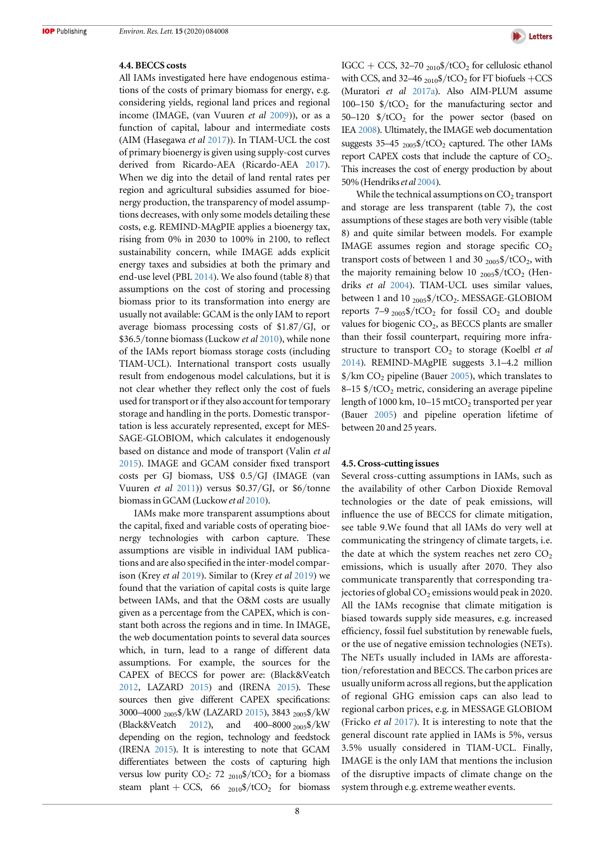#### 4.4. BECCS costs

All IAMs investigated here have endogenous estimations of the costs of primary biomass for energy, e.g. considering yields, regional land prices and regional income (IMAGE, (van Vuuren et al [2009](#page-14-0))), or as a function of capital, labour and intermediate costs (AIM (Hasegawa et al [2017](#page-13-0))). In TIAM-UCL the cost of primary bioenergy is given using supply-cost curves derived from Ricardo-AEA (Ricardo-AEA [2017](#page-14-0)). When we dig into the detail of land rental rates per region and agricultural subsidies assumed for bioenergy production, the transparency of model assumptions decreases, with only some models detailing these costs, e.g. REMIND-MAgPIE applies a bioenergy tax, rising from 0% in 2030 to 100% in 2100, to reflect sustainability concern, while IMAGE adds explicit energy taxes and subsidies at both the primary and end-use level (PBL [2014](#page-14-0)). We also found (table 8) that assumptions on the cost of storing and processing biomass prior to its transformation into energy are usually not available: GCAM is the only IAM to report average biomass processing costs of \$1.87/GJ, or \$36.5/tonne biomass (Luckow et al [2010](#page-14-0)), while none of the IAMs report biomass storage costs (including TIAM-UCL). International transport costs usually result from endogenous model calculations, but it is not clear whether they reflect only the cost of fuels used for transport or if they also account for temporary storage and handling in the ports. Domestic transportation is less accurately represented, except for MES-SAGE-GLOBIOM, which calculates it endogenously based on distance and mode of transport (Valin et al [2015](#page-14-0)). IMAGE and GCAM consider fixed transport costs per GJ biomass, US\$ 0.5/GJ (IMAGE (van Vuuren et al  $2011$ )) versus \$0.37/GJ, or \$6/tonne biomass in GCAM (Luckow et al [2010](#page-14-0)).

IAMs make more transparent assumptions about the capital, fixed and variable costs of operating bioenergy technologies with carbon capture. These assumptions are visible in individual IAM publications and are also specified in the inter-model comparison (Krey et al [2019](#page-13-0)). Similar to (Krey et al [2019](#page-13-0)) we found that the variation of capital costs is quite large between IAMs, and that the O&M costs are usually given as a percentage from the CAPEX, which is constant both across the regions and in time. In IMAGE, the web documentation points to several data sources which, in turn, lead to a range of different data assumptions. For example, the sources for the CAPEX of BECCS for power are: (Black&Veatch [2012](#page-12-0), LAZARD [2015](#page-14-0)) and (IRENA [2015](#page-13-0)). These sources then give different CAPEX specifications: 3000–4000 2005\$/kW (LAZARD [2015](#page-14-0)), 3843 2005\$/kW (Black&Veatch [2012](#page-12-0)), and 400–8000 2005\$/kW depending on the region, technology and feedstock (IRENA [2015](#page-13-0)). It is interesting to note that GCAM differentiates between the costs of capturing high versus low purity CO<sub>2</sub>: 72  $_{2010}$ \$/tCO<sub>2</sub> for a biomass steam plant + CCS, 66  $_{2010}$ \$/tCO<sub>2</sub> for biomass



IGCC + CCS, 32–70  $_{2010}$ \$/tCO<sub>2</sub> for cellulosic ethanol with CCS, and 32–46  $_{2010}$ \$/tCO<sub>2</sub> for FT biofuels +CCS (Muratori et al [2017a](#page-14-0)). Also AIM-PLUM assume 100–150  $\frac{150}{2}$  for the manufacturing sector and  $50-120$  \$/tCO<sub>2</sub> for the power sector (based on IEA [2008](#page-13-0)). Ultimately, the IMAGE web documentation suggests  $35-45$  <sub>2005</sub>\$/tCO<sub>2</sub> captured. The other IAMs report CAPEX costs that include the capture of  $CO<sub>2</sub>$ . This increases the cost of energy production by about 50% (Hendrikset al [2004](#page-13-0)).

While the technical assumptions on  $CO<sub>2</sub>$  transport and storage are less transparent (table 7), the cost assumptions of these stages are both very visible (table 8) and quite similar between models. For example IMAGE assumes region and storage specific  $CO<sub>2</sub>$ transport costs of between 1 and 30  $_{2005}$ \$/tCO<sub>2</sub>, with the majority remaining below 10  $_{2005}\frac{4}{7}$  /tCO<sub>2</sub> (Hendriks et al [2004](#page-13-0)). TIAM-UCL uses similar values, between 1 and 10  $_{2005}$ \$/tCO<sub>2</sub>. MESSAGE-GLOBIOM reports  $7-9$  <sub>2005</sub>\$/tCO<sub>2</sub> for fossil CO<sub>2</sub> and double values for biogenic  $CO<sub>2</sub>$ , as BECCS plants are smaller than their fossil counterpart, requiring more infrastructure to transport  $CO<sub>2</sub>$  to storage (Koelbl *et al* [2014](#page-13-0)). REMIND-MAgPIE suggests 3.1–4.2 million  $\frac{\gamma}{\kappa}$  (km CO<sub>2</sub> pipeline (Bauer [2005](#page-12-0)), which translates to  $8-15$  \$/tCO<sub>2</sub> metric, considering an average pipeline length of 1000 km,  $10-15$  mtCO<sub>2</sub> transported per year (Bauer [2005](#page-12-0)) and pipeline operation lifetime of between 20 and 25 years.

#### 4.5. Cross-cutting issues

Several cross-cutting assumptions in IAMs, such as the availability of other Carbon Dioxide Removal technologies or the date of peak emissions, will influence the use of BECCS for climate mitigation, see table 9.We found that all IAMs do very well at communicating the stringency of climate targets, i.e. the date at which the system reaches net zero  $CO<sub>2</sub>$ emissions, which is usually after 2070. They also communicate transparently that corresponding trajectories of global  $CO<sub>2</sub>$  emissions would peak in 2020. All the IAMs recognise that climate mitigation is biased towards supply side measures, e.g. increased efficiency, fossil fuel substitution by renewable fuels, or the use of negative emission technologies (NETs). The NETs usually included in IAMs are afforestation/reforestation and BECCS. The carbon prices are usually uniform across all regions, but the application of regional GHG emission caps can also lead to regional carbon prices, e.g. in MESSAGE GLOBIOM (Fricko et al [2017](#page-13-0)). It is interesting to note that the general discount rate applied in IAMs is 5%, versus 3.5% usually considered in TIAM-UCL. Finally, IMAGE is the only IAM that mentions the inclusion of the disruptive impacts of climate change on the system through e.g. extreme weather events.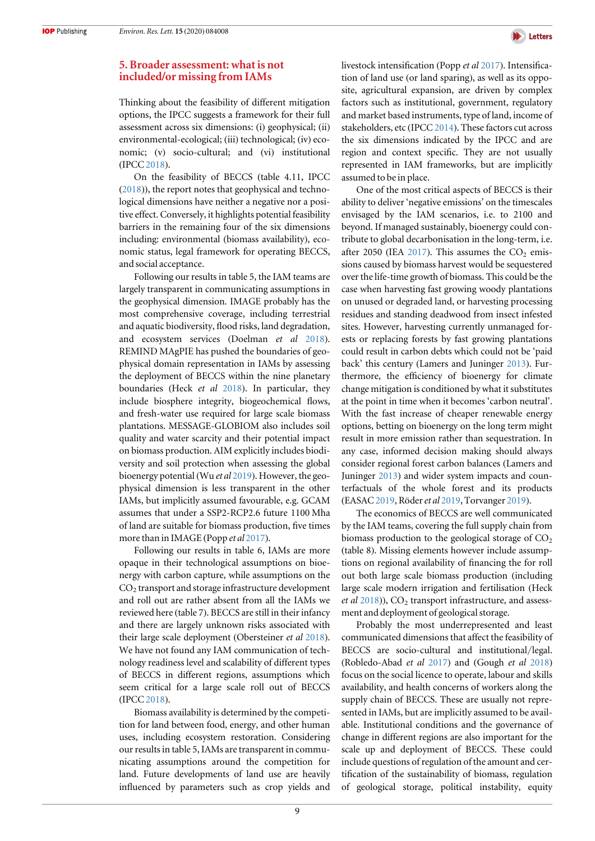

## <span id="page-9-0"></span>5. Broader assessment: what is not included/or missing from IAMs

Thinking about the feasibility of different mitigation options, the IPCC suggests a framework for their full assessment across six dimensions: (i) geophysical; (ii) environmental-ecological; (iii) technological; (iv) economic; (v) socio-cultural; and (vi) institutional (IPCC [2018](#page-13-0)).

On the feasibility of BECCS (table 4.11, IPCC ([2018](#page-13-0))), the report notes that geophysical and technological dimensions have neither a negative nor a positive effect. Conversely, it highlights potential feasibility barriers in the remaining four of the six dimensions including: environmental (biomass availability), economic status, legal framework for operating BECCS, and social acceptance.

Following our results in table 5, the IAM teams are largely transparent in communicating assumptions in the geophysical dimension. IMAGE probably has the most comprehensive coverage, including terrestrial and aquatic biodiversity, flood risks, land degradation, and ecosystem services (Doelman et al [2018](#page-13-0)). REMIND MAgPIE has pushed the boundaries of geophysical domain representation in IAMs by assessing the deployment of BECCS within the nine planetary boundaries (Heck et al [2018](#page-13-0)). In particular, they include biosphere integrity, biogeochemical flows, and fresh-water use required for large scale biomass plantations. MESSAGE-GLOBIOM also includes soil quality and water scarcity and their potential impact on biomass production. AIM explicitly includes biodiversity and soil protection when assessing the global bioenergy potential(Wu et al [2019](#page-15-0)). However, the geophysical dimension is less transparent in the other IAMs, but implicitly assumed favourable, e.g. GCAM assumes that under a SSP2-RCP2.6 future 1100 Mha of land are suitable for biomass production, five times more than in IMAGE (Popp *et al* [2017](#page-14-0)).

Following our results in table 6, IAMs are more opaque in their technological assumptions on bioenergy with carbon capture, while assumptions on the  $CO<sub>2</sub>$  transport and storage infrastructure development and roll out are rather absent from all the IAMs we reviewed here (table 7). BECCS are still in their infancy and there are largely unknown risks associated with their large scale deployment (Obersteiner et al [2018](#page-14-0)). We have not found any IAM communication of technology readiness level and scalability of different types of BECCS in different regions, assumptions which seem critical for a large scale roll out of BECCS (IPCC [2018](#page-13-0)).

Biomass availability is determined by the competition for land between food, energy, and other human uses, including ecosystem restoration. Considering our results in table 5, IAMs are transparent in communicating assumptions around the competition for land. Future developments of land use are heavily influenced by parameters such as crop yields and livestock intensification (Popp et al [2017](#page-14-0)). Intensification of land use (or land sparing), as well as its opposite, agricultural expansion, are driven by complex factors such as institutional, government, regulatory and market based instruments, type of land, income of stakeholders, etc (IPCC [2014](#page-13-0)). These factors cut across the six dimensions indicated by the IPCC and are region and context specific. They are not usually represented in IAM frameworks, but are implicitly assumed to be in place.

One of the most critical aspects of BECCS is their ability to deliver 'negative emissions' on the timescales envisaged by the IAM scenarios, i.e. to 2100 and beyond. If managed sustainably, bioenergy could contribute to global decarbonisation in the long-term, i.e. after 2050 (IEA [2017](#page-13-0)). This assumes the  $CO<sub>2</sub>$  emissions caused by biomass harvest would be sequestered over the life-time growth of biomass. This could be the case when harvesting fast growing woody plantations on unused or degraded land, or harvesting processing residues and standing deadwood from insect infested sites. However, harvesting currently unmanaged forests or replacing forests by fast growing plantations could result in carbon debts which could not be 'paid back' this century (Lamers and Juninger [2013](#page-13-0)). Furthermore, the efficiency of bioenergy for climate change mitigation is conditioned by what it substitutes at the point in time when it becomes 'carbon neutral'. With the fast increase of cheaper renewable energy options, betting on bioenergy on the long term might result in more emission rather than sequestration. In any case, informed decision making should always consider regional forest carbon balances (Lamers and Juninger [2013](#page-13-0)) and wider system impacts and counterfactuals of the whole forest and its products (EASAC [2019,](#page-13-0) Röderet al [2019,](#page-14-0) Torvanger [2019](#page-14-0)).

The economics of BECCS are well communicated by the IAM teams, covering the full supply chain from biomass production to the geological storage of  $CO<sub>2</sub>$ (table 8). Missing elements however include assumptions on regional availability of financing the for roll out both large scale biomass production (including large scale modern irrigation and fertilisation (Heck et al  $2018$ )),  $CO<sub>2</sub>$  transport infrastructure, and assessment and deployment of geological storage.

Probably the most underrepresented and least communicated dimensions that affect the feasibility of BECCS are socio-cultural and institutional/legal. (Robledo-Abad et al [2017](#page-14-0)) and (Gough et al [2018](#page-13-0)) focus on the social licence to operate, labour and skills availability, and health concerns of workers along the supply chain of BECCS. These are usually not represented in IAMs, but are implicitly assumed to be available. Institutional conditions and the governance of change in different regions are also important for the scale up and deployment of BECCS. These could include questions of regulation of the amount and certification of the sustainability of biomass, regulation of geological storage, political instability, equity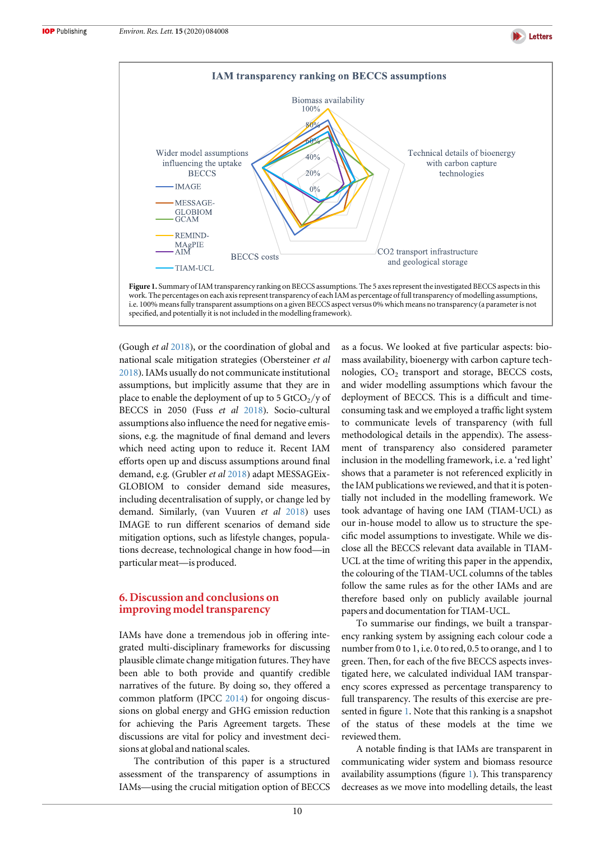<span id="page-10-0"></span>



(Gough et al [2018](#page-13-0)), or the coordination of global and national scale mitigation strategies (Obersteiner et al [2018](#page-14-0)). IAMs usually do not communicate institutional assumptions, but implicitly assume that they are in place to enable the deployment of up to 5  $GtCO_2$ /y of BECCS in 2050 (Fuss et al [2018](#page-13-0)). Socio-cultural assumptions also influence the need for negative emissions, e.g. the magnitude of final demand and levers which need acting upon to reduce it. Recent IAM efforts open up and discuss assumptions around final demand, e.g. (Grubler et al [2018](#page-13-0)) adapt MESSAGEix-GLOBIOM to consider demand side measures, including decentralisation of supply, or change led by demand. Similarly, (van Vuuren et al [2018](#page-14-0)) uses IMAGE to run different scenarios of demand side mitigation options, such as lifestyle changes, populations decrease, technological change in how food—in particular meat—is produced.

## 6. Discussion and conclusions on improving model transparency

IAMs have done a tremendous job in offering integrated multi-disciplinary frameworks for discussing plausible climate change mitigation futures. They have been able to both provide and quantify credible narratives of the future. By doing so, they offered a common platform (IPCC [2014](#page-13-0)) for ongoing discussions on global energy and GHG emission reduction for achieving the Paris Agreement targets. These discussions are vital for policy and investment decisions at global and national scales.

The contribution of this paper is a structured assessment of the transparency of assumptions in IAMs—using the crucial mitigation option of BECCS as a focus. We looked at five particular aspects: biomass availability, bioenergy with carbon capture technologies,  $CO<sub>2</sub>$  transport and storage, BECCS costs, and wider modelling assumptions which favour the deployment of BECCS. This is a difficult and timeconsuming task and we employed a traffic light system to communicate levels of transparency (with full methodological details in the appendix). The assessment of transparency also considered parameter inclusion in the modelling framework, i.e. a 'red light' shows that a parameter is not referenced explicitly in the IAM publications we reviewed, and that it is potentially not included in the modelling framework. We took advantage of having one IAM (TIAM-UCL) as our in-house model to allow us to structure the specific model assumptions to investigate. While we disclose all the BECCS relevant data available in TIAM-UCL at the time of writing this paper in the appendix, the colouring of the TIAM-UCL columns of the tables follow the same rules as for the other IAMs and are therefore based only on publicly available journal papers and documentation for TIAM-UCL.

**D** Letters

To summarise our findings, we built a transparency ranking system by assigning each colour code a number from 0 to 1, i.e. 0 to red, 0.5 to orange, and 1 to green. Then, for each of the five BECCS aspects investigated here, we calculated individual IAM transparency scores expressed as percentage transparency to full transparency. The results of this exercise are presented in figure 1. Note that this ranking is a snapshot of the status of these models at the time we reviewed them.

A notable finding is that IAMs are transparent in communicating wider system and biomass resource availability assumptions (figure 1). This transparency decreases as we move into modelling details, the least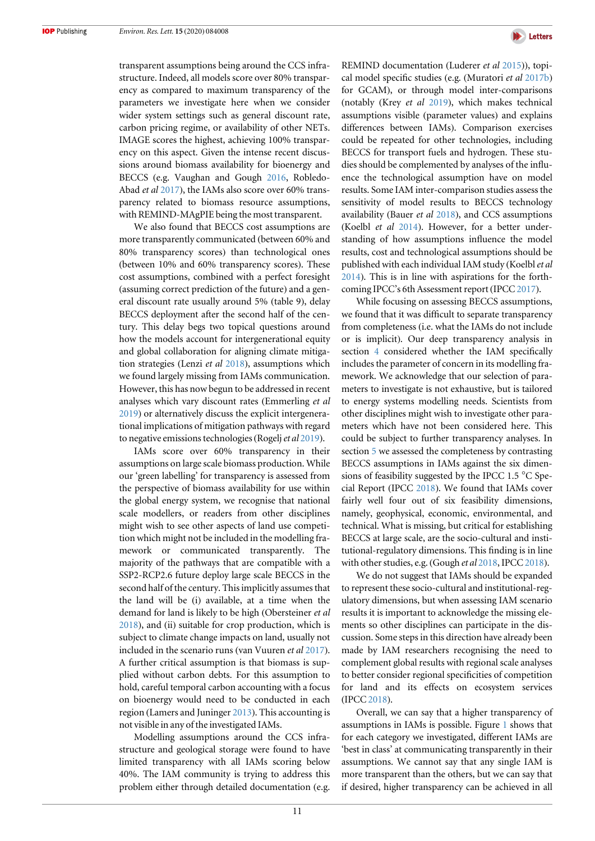transparent assumptions being around the CCS infrastructure. Indeed, all models score over 80% transparency as compared to maximum transparency of the parameters we investigate here when we consider wider system settings such as general discount rate, carbon pricing regime, or availability of other NETs. IMAGE scores the highest, achieving 100% transparency on this aspect. Given the intense recent discussions around biomass availability for bioenergy and BECCS (e.g. Vaughan and Gough [2016](#page-14-0), Robledo-Abad et al [2017](#page-14-0)), the IAMs also score over 60% transparency related to biomass resource assumptions, with REMIND-MAgPIE being the most transparent.

We also found that BECCS cost assumptions are more transparently communicated (between 60% and 80% transparency scores) than technological ones (between 10% and 60% transparency scores). These cost assumptions, combined with a perfect foresight (assuming correct prediction of the future) and a general discount rate usually around 5% (table 9), delay BECCS deployment after the second half of the century. This delay begs two topical questions around how the models account for intergenerational equity and global collaboration for aligning climate mitigation strategies (Lenzi et al [2018](#page-14-0)), assumptions which we found largely missing from IAMs communication. However, this has now begun to be addressed in recent analyses which vary discount rates (Emmerling et al [2019](#page-13-0)) or alternatively discuss the explicit intergenerational implications of mitigation pathways with regard to negative emissions technologies (Rogelj *et al* [2019](#page-14-0)).

IAMs score over 60% transparency in their assumptions on large scale biomass production. While our 'green labelling' for transparency is assessed from the perspective of biomass availability for use within the global energy system, we recognise that national scale modellers, or readers from other disciplines might wish to see other aspects of land use competition which might not be included in the modelling framework or communicated transparently. The majority of the pathways that are compatible with a SSP2-RCP2.6 future deploy large scale BECCS in the second half of the century. This implicitly assumes that the land will be (i) available, at a time when the demand for land is likely to be high (Obersteiner et al [2018](#page-14-0)), and (ii) suitable for crop production, which is subject to climate change impacts on land, usually not included in the scenario runs (van Vuuren et al [2017](#page-14-0)). A further critical assumption is that biomass is supplied without carbon debts. For this assumption to hold, careful temporal carbon accounting with a focus on bioenergy would need to be conducted in each region (Lamers and Juninger [2013](#page-13-0)). This accounting is not visible in any of the investigated IAMs.

Modelling assumptions around the CCS infrastructure and geological storage were found to have limited transparency with all IAMs scoring below 40%. The IAM community is trying to address this problem either through detailed documentation (e.g.



REMIND documentation (Luderer et al [2015](#page-14-0))), topical model specific studies (e.g. (Muratori et al [2017b](#page-14-0)) for GCAM), or through model inter-comparisons (notably (Krey et al [2019](#page-13-0)), which makes technical assumptions visible (parameter values) and explains differences between IAMs). Comparison exercises could be repeated for other technologies, including BECCS for transport fuels and hydrogen. These studies should be complemented by analyses of the influence the technological assumption have on model results. Some IAM inter-comparison studies assess the sensitivity of model results to BECCS technology availability (Bauer et al [2018](#page-12-0)), and CCS assumptions (Koelbl et al [2014](#page-13-0)). However, for a better understanding of how assumptions influence the model results, cost and technological assumptions should be published with each individual IAM study (Koelbl et al [2014](#page-13-0)). This is in line with aspirations for the forth-coming IPCC's 6th Assessment report (IPCC [2017](#page-13-0)).

While focusing on assessing BECCS assumptions, we found that it was difficult to separate transparency from completeness (i.e. what the IAMs do not include or is implicit). Our deep transparency analysis in section [4](#page-5-0) considered whether the IAM specifically includes the parameter of concern in its modelling framework. We acknowledge that our selection of parameters to investigate is not exhaustive, but is tailored to energy systems modelling needs. Scientists from other disciplines might wish to investigate other parameters which have not been considered here. This could be subject to further transparency analyses. In section [5](#page-9-0) we assessed the completeness by contrasting BECCS assumptions in IAMs against the six dimensions of feasibility suggested by the IPCC 1.5 °C Special Report (IPCC [2018](#page-13-0)). We found that IAMs cover fairly well four out of six feasibility dimensions, namely, geophysical, economic, environmental, and technical. What is missing, but critical for establishing BECCS at large scale, are the socio-cultural and institutional-regulatory dimensions. This finding is in line with other studies, e.g. (Gough et al [2018,](#page-13-0) IPCC [2018](#page-13-0)).

We do not suggest that IAMs should be expanded to represent these socio-cultural and institutional-regulatory dimensions, but when assessing IAM scenario results it is important to acknowledge the missing elements so other disciplines can participate in the discussion. Some steps in this direction have already been made by IAM researchers recognising the need to complement global results with regional scale analyses to better consider regional specificities of competition for land and its effects on ecosystem services (IPCC [2018](#page-13-0)).

Overall, we can say that a higher transparency of assumptions in IAMs is possible. Figure [1](#page-10-0) shows that for each category we investigated, different IAMs are 'best in class' at communicating transparently in their assumptions. We cannot say that any single IAM is more transparent than the others, but we can say that if desired, higher transparency can be achieved in all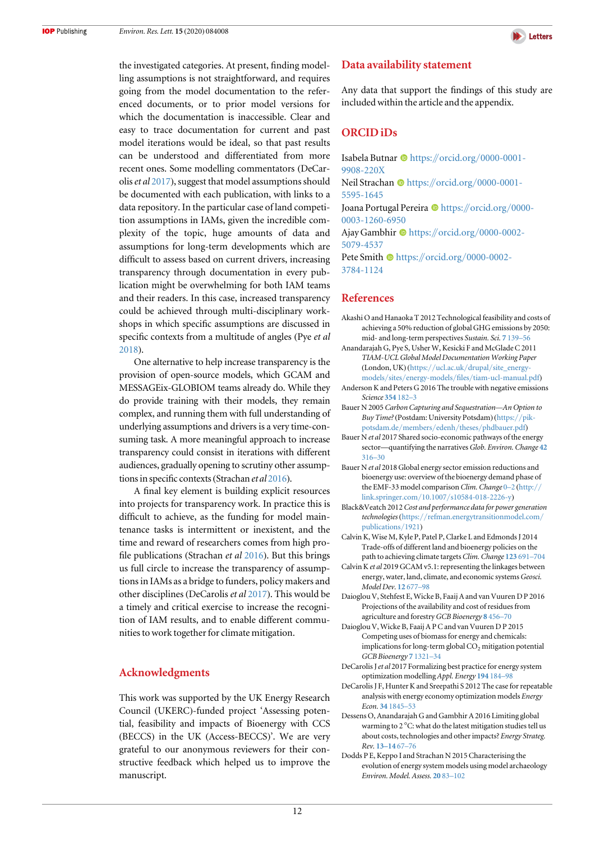<span id="page-12-0"></span>the investigated categories. At present, finding modelling assumptions is not straightforward, and requires going from the model documentation to the referenced documents, or to prior model versions for which the documentation is inaccessible. Clear and easy to trace documentation for current and past model iterations would be ideal, so that past results can be understood and differentiated from more recent ones. Some modelling commentators (DeCaroliset al 2017), suggest that model assumptions should be documented with each publication, with links to a data repository. In the particular case of land competition assumptions in IAMs, given the incredible complexity of the topic, huge amounts of data and assumptions for long-term developments which are difficult to assess based on current drivers, increasing transparency through documentation in every publication might be overwhelming for both IAM teams and their readers. In this case, increased transparency could be achieved through multi-disciplinary workshops in which specific assumptions are discussed in specific contexts from a multitude of angles (Pye et al [2018](#page-14-0)).

One alternative to help increase transparency is the provision of open-source models, which GCAM and MESSAGEix-GLOBIOM teams already do. While they do provide training with their models, they remain complex, and running them with full understanding of underlying assumptions and drivers is a very time-consuming task. A more meaningful approach to increase transparency could consist in iterations with different audiences, gradually opening to scrutiny other assumptions in specific contexts(Strachan et al [2016](#page-14-0)).

A final key element is building explicit resources into projects for transparency work. In practice this is difficult to achieve, as the funding for model maintenance tasks is intermittent or inexistent, and the time and reward of researchers comes from high profile publications (Strachan et al [2016](#page-14-0)). But this brings us full circle to increase the transparency of assumptions in IAMs as a bridge to funders, policy makers and other disciplines (DeCarolis et al 2017). This would be a timely and critical exercise to increase the recognition of IAM results, and to enable different communities to work together for climate mitigation.

## Acknowledgments

This work was supported by the UK Energy Research Council (UKERC)-funded project 'Assessing potential, feasibility and impacts of Bioenergy with CCS (BECCS) in the UK (Access-BECCS)'. We are very grateful to our anonymous reviewers for their constructive feedback which helped us to improve the manuscript.



## Data availability statement

Any data that support the findings of this study are included within the article and the appendix.

## ORCID iDs

Isabela Butnar  $\bullet$  [https:](https://orcid.org/0000-0001-9908-220X)//orcid.org/[0000-0001-](https://orcid.org/0000-0001-9908-220X) [9908-220X](https://orcid.org/0000-0001-9908-220X) Neil Strachan ® [https:](https://orcid.org/0000-0001-5595-1645)//orcid.org/[0000-0001-](https://orcid.org/0000-0001-5595-1645) [5595-1645](https://orcid.org/0000-0001-5595-1645) Joana Portugal Pereira <sup>th</sup> [https:](https://orcid.org/0000-0003-1260-6950)//[orcid.org](https://orcid.org/0000-0003-1260-6950)/0000-[0003-1260-6950](https://orcid.org/0000-0003-1260-6950)

Ajay Gambhir C[https:](https://orcid.org/0000-0002-5079-4537)//orcid.org/[0000-0002-](https://orcid.org/0000-0002-5079-4537) [5079-4537](https://orcid.org/0000-0002-5079-4537)

Pete Smith  $\bullet$  [https:](https://orcid.org/0000-0002-3784-1124)//orcid.org/[0000-0002-](https://orcid.org/0000-0002-3784-1124) [3784-1124](https://orcid.org/0000-0002-3784-1124)

### References

- Akashi O and Hanaoka T 2012 Technological feasibility and costs of achieving a 50% reduction of global GHG emissions by 2050: mid- and long-term perspectives Sustain. Sci. 7 [139](https://doi.org/10.1007/s11625-012-0166-4)–56
- Anandarajah G, Pye S, Usher W, Kesicki F and McGlade C 2011 TIAM-UCL Global Model Documentation Working Paper (London, UK) (https://ucl.ac.uk/drupal/[site\\_energy](https://www.ucl.ac.uk/drupal/site_energy-models/sites/energy-models/files/tiam-ucl-manual.pdf)models/sites/energy-models/files/[tiam-ucl-manual.pdf](https://www.ucl.ac.uk/drupal/site_energy-models/sites/energy-models/files/tiam-ucl-manual.pdf))
- Anderson K and Peters G 2016 The trouble with negative emissions Science [354](https://doi.org/10.1126/science.aah4567) 182–3
- Bauer N 2005 Carbon Capturing and Sequestration—An Option to Buy Time?(Postdam: University Potsdam) ([https:](https://www.pik-potsdam.de/members/edenh/theses/phdbauer.pdf)//pikpotsdam.de/members/edenh/theses/[phdbauer.pdf](https://www.pik-potsdam.de/members/edenh/theses/phdbauer.pdf))
- Bauer N et al 2017 Shared socio-economic pathways of the energy sector-quantifying the narratives Glob. Environ. Change [42](https://doi.org/10.1016/j.gloenvcha.2016.07.006) [316](https://doi.org/10.1016/j.gloenvcha.2016.07.006)–30
- Bauer N et al 2018 Global energy sector emission reductions and bioenergy use: overview of the bioenergy demand phase of the EMF-33 model comparison Clim. Change [0](https://doi.org/10.1007/s10584-018-2226-y)-2 ([http:](http://link.springer.com/10.1007/s10584-018-2226-y)// link.springer.com/10.1007/[s10584-018-2226-y](http://link.springer.com/10.1007/s10584-018-2226-y))
- Black&Veatch 2012 Cost and performance data for power generation technologies (https://[refman.energytransitionmodel.com](https://refman.energytransitionmodel.com/publications/1921)/ [publications](https://refman.energytransitionmodel.com/publications/1921)/1921)
- Calvin K, Wise M, Kyle P, Patel P, Clarke L and Edmonds J 2014 Trade-offs of different land and bioenergy policies on the path to achieving climate targets Clim. Change [123](https://doi.org/10.1007/s10584-013-0897-y) 691–704
- Calvin Ket al 2019 GCAM v5.1: representing the linkages between energy, water, land, climate, and economic systems Geosci. Model Dev. 12 [677](https://doi.org/10.5194/gmd-12-677-2019)–98
- Daioglou V, Stehfest E, Wicke B, Faaij A and van Vuuren D P 2016 Projections of the availability and cost of residues from agriculture and forestry GCB Bioenergy 8 [456](https://doi.org/10.1111/gcbb.12285)-70
- Daioglou V, Wicke B, Faaij A P C and van Vuuren D P 2015 Competing uses of biomass for energy and chemicals: implications for long-term global  $CO<sub>2</sub>$  mitigation potential GCB Bioenergy 7 [1321](https://doi.org/10.1111/gcbb.12228)–34
- DeCarolis J et al 2017 Formalizing best practice for energy system optimization modelling Appl. Energy [194](https://doi.org/10.1016/j.apenergy.2017.03.001) 184–98
- DeCarolis J F, Hunter K and Sreepathi S 2012 The case for repeatable analysis with energy economy optimization models Energy Econ. 34 [1845](https://doi.org/10.1016/j.eneco.2012.07.004)–53
- Dessens O, Anandarajah G and Gambhir A 2016 Limiting global warming to 2 °C: what do the latest mitigation studies tell us about costs, technologies and other impacts? Energy Strateg. Rev. [13](https://doi.org/10.1016/j.esr.2016.08.004)–14 67–76
- Dodds P E, Keppo I and Strachan N 2015 Characterising the evolution of energy system models using model archaeology Environ. Model. Assess. [20](https://doi.org/10.1007/s10666-014-9417-3) 83–[102](https://doi.org/10.1007/s10666-014-9417-3)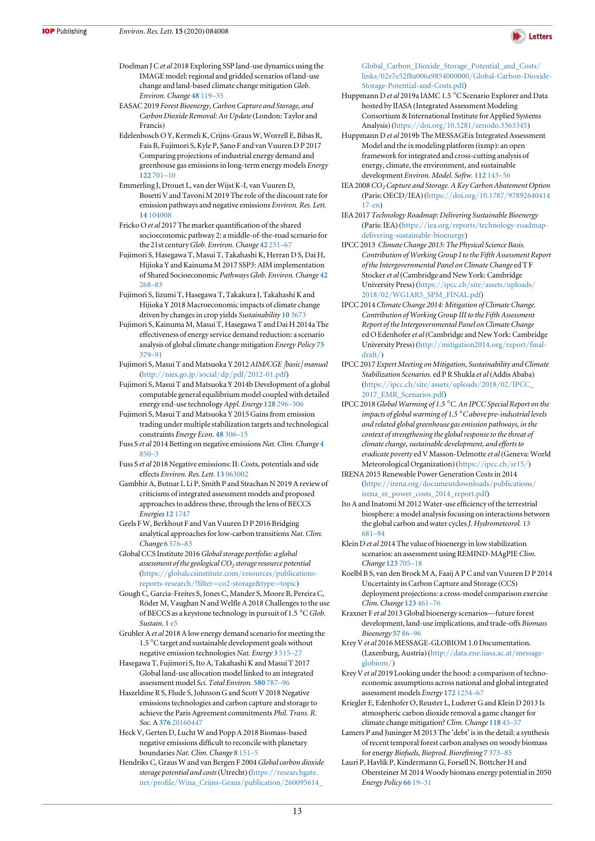

- <span id="page-13-0"></span>Doelman J Cet al 2018 Exploring SSP land-use dynamics using the IMAGE model: regional and gridded scenarios of land-use change and land-based climate change mitigation Glob. Environ. Change 48 [119](https://doi.org/10.1016/j.gloenvcha.2017.11.014)–35
- EASAC 2019 Forest Bioenergy, Carbon Capture and Storage, and Carbon Dioxide Removal: An Update(London: Taylor and Francis)
- Edelenbosch O Y, Kermeli K, Crijns-Graus W, Worrell E, Bibas R, Fais B, Fujimori S, Kyle P, Sano F and van Vuuren D P 2017 Comparing projections of industrial energy demand and greenhouse gas emissions in long-term energy models Energy 122 [701](https://doi.org/10.1016/j.energy.2017.01.017)–10
- Emmerling J, Drouet L, van der Wijst K-I, van Vuuren D, Bosetti V and Tavoni M 2019 The role of the discount rate for emission pathways and negative emissions Environ. Res. Lett. 14 [104008](https://doi.org/10.1088/1748-9326/ab3cc9)
- Fricko O et al 2017 The marker quantification of the shared socioeconomic pathway 2: a middle-of-the-road scenario for the 21st century Glob. Environ. Change 42 [251](https://doi.org/10.1016/j.gloenvcha.2016.06.004)-67
- Fujimori S, Hasegawa T, Masui T, Takahashi K, Herran D S, Dai H, Hijioka Y and Kainuma M 2017 SSP3: AIM implementation of Shared Socioeconomic Pathways Glob. Environ. Change [42](https://doi.org/10.1016/j.gloenvcha.2016.06.009) [268](https://doi.org/10.1016/j.gloenvcha.2016.06.009)–83
- Fujimori S, Iizumi T, Hasegawa T, Takakura J, Takahashi K and Hijioka Y 2018 Macroeconomic impacts of climate change driven by changes in crop yields Sustainability 10 [3673](https://doi.org/10.3390/su10103673)
- Fujimori S, Kainuma M, Masui T, Hasegawa T and Dai H 2014a The effectiveness of energy service demand reduction: a scenario analysis of global climate change mitigation Energy Policy [75](https://doi.org/10.1016/j.enpol.2014.09.015) [379](https://doi.org/10.1016/j.enpol.2014.09.015)–91
- Fujimori S, Masui T and Matsuoka Y 2012 AIM/CGE [basic] manual (http://nies.go.jp/social/dp/pdf/[2012-01.pdf](http://www.nies.go.jp/social/dp/pdf/2012-01.pdf))
- Fujimori S, Masui T and Matsuoka Y 2014b Development of a global computable general equilibrium model coupled with detailed energy end-use technology Appl. Energy [128](https://doi.org/10.1016/j.apenergy.2014.04.074) 296–306
- Fujimori S, Masui T and Matsuoka Y 2015 Gains from emission trading under multiple stabilization targets and technological constraints Energy Econ. 48 [306](https://doi.org/10.1016/j.eneco.2014.12.011)–15
- Fuss S et al 2014 Betting on negative emissions Nat. Clim. Change [4](https://doi.org/10.1038/nclimate2392) [850](https://doi.org/10.1038/nclimate2392)–3
- Fuss S et al 2018 Negative emissions: II. Costs, potentials and side effects Environ. Res. Lett. 13 [063002](https://doi.org/10.1088/1748-9326/aabf9f)
- Gambhir A, Butnar I, Li P, Smith P and Strachan N 2019 A review of criticisms of integrated assessment models and proposed approaches to address these, through the lens of BECCS Energies 12 [1747](https://doi.org/10.3390/en12091747)
- Geels F W, Berkhout F and Van Vuuren D P 2016 Bridging analytical approaches for low-carbon transitions Nat. Clim. Change 6 [576](https://doi.org/10.1038/nclimate2980)–83
- Global CCS Institute 2016Global storage portfolio: a global assessment of the geological  $CO<sub>2</sub>$  storage resource potential (https://[globalccsinstitute.com](https://www.globalccsinstitute.com/resources/publications-reports-research/?filter=co2-storage&type=topic)/resources/publicationsreports-research/?filter=[co2-storage&type](https://www.globalccsinstitute.com/resources/publications-reports-research/?filter=co2-storage&type=topic)=topic)
- Gough C, Garcia-Freites S, Jones C, Mander S, Moore B, Pereira C, Röder M, Vaughan N and Welfle A 2018 Challenges to the use of BECCS as a keystone technology in pursuit of 1.5 °C Glob. Sustain. 1 [e5](https://doi.org/10.1017/sus.2018.3)
- Grubler A et al 2018 A low energy demand scenario for meeting the 1.5 °C target and sustainable development goals without negative emission technologies Nat. Energy 3 [515](https://doi.org/10.1038/s41560-018-0172-6)–27
- Hasegawa T, Fujimori S, Ito A, Takahashi K and Masui T 2017 Global land-use allocation model linked to an integrated assessment model Sci. Total Environ. [580](https://doi.org/10.1016/j.scitotenv.2016.12.025) 787–96
- Haszeldine R S, Flude S, Johnson G and Scott V 2018 Negative emissions technologies and carbon capture and storage to achieve the Paris Agreement commitments Phil. Trans. R. Soc. A 376 [20160447](https://doi.org/10.1098/rsta.2016.0447)
- Heck V, Gerten D, Lucht W and Popp A 2018 Biomass-based negative emissions difficult to reconcile with planetary boundaries Nat. Clim. Change 8 [151](https://doi.org/10.1038/s41558-017-0064-y)-5
- Hendriks C, Graus W and van Bergen F 2004Global carbon dioxide storage potential and costs (Utrecht) (https://[researchgate.](https://www.researchgate.net/profile/Wina_Crijns-Graus/publication/260095614_Global_Carbon_Dioxide_Storage_Potential_and_Costs/links/02e7e52f8a006a9854000000/Global-Carbon-Dioxide-Storage-Potential-and-Costs.pdf) net/profile/[Wina\\_Crijns-Graus](https://www.researchgate.net/profile/Wina_Crijns-Graus/publication/260095614_Global_Carbon_Dioxide_Storage_Potential_and_Costs/links/02e7e52f8a006a9854000000/Global-Carbon-Dioxide-Storage-Potential-and-Costs.pdf)/publication/260095614\_

[Global\\_Carbon\\_Dioxide\\_Storage\\_Potential\\_and\\_Costs](https://www.researchgate.net/profile/Wina_Crijns-Graus/publication/260095614_Global_Carbon_Dioxide_Storage_Potential_and_Costs/links/02e7e52f8a006a9854000000/Global-Carbon-Dioxide-Storage-Potential-and-Costs.pdf)/ links/[02e7e52f8a006a9854000000](https://www.researchgate.net/profile/Wina_Crijns-Graus/publication/260095614_Global_Carbon_Dioxide_Storage_Potential_and_Costs/links/02e7e52f8a006a9854000000/Global-Carbon-Dioxide-Storage-Potential-and-Costs.pdf)/Global-Carbon-Dioxide-[Storage-Potential-and-Costs.pdf](https://www.researchgate.net/profile/Wina_Crijns-Graus/publication/260095614_Global_Carbon_Dioxide_Storage_Potential_and_Costs/links/02e7e52f8a006a9854000000/Global-Carbon-Dioxide-Storage-Potential-and-Costs.pdf))

- Huppmann D et al 2019a IAMC 1.5 °C Scenario Explorer and Data hosted by IIASA (Integrated Assessment Modeling Consortium & International Institute for Applied Systems Analysis) (https://doi.org/10.5281/[zenodo.3363345](https://doi.org/10.5281/zenodo.3363345))
- Huppmann D et al 2019b The MESSAGEix Integrated Assessment Model and the ix modeling platform (ixmp): an open framework for integrated and cross-cutting analysis of energy, climate, the environment, and sustainable development Environ. Model. Softw. [112](https://doi.org/10.1016/j.envsoft.2018.11.012) 143–56
- IEA 2008 CO<sub>2</sub> Capture and Storage. A Key Carbon Abatement Option (Paris: OECD/IEA) (https://doi.org/10.1787/[97892640414](https://doi.org/10.1787/9789264041417-en) [17-en](https://doi.org/10.1787/9789264041417-en))
- IEA 2017 Technology Roadmap: Delivering Sustainable Bioenergy (Paris: IEA) (https://iea.org/reports/[technology-roadmap](https://www.iea.org/reports/technology-roadmap-delivering-sustainable-bioenergy)[delivering-sustainable-bioenergy](https://www.iea.org/reports/technology-roadmap-delivering-sustainable-bioenergy))
- IPCC 2013 Climate Change 2013: The Physical Science Basis. Contribution of Working Group I to the Fifth Assessment Report of the Intergovernmental Panel on Climate Change ed T F Stocker et al (Cambridge and New York: Cambridge University Press) ([https:](https://ipcc.ch/site/assets/uploads/2018/02/WG1AR5_SPM_FINAL.pdf)//ipcc.ch/site/assets/[uploads](https://ipcc.ch/site/assets/uploads/2018/02/WG1AR5_SPM_FINAL.pdf)/ 2018/02/[WG1AR5\\_SPM\\_FINAL.pdf](https://ipcc.ch/site/assets/uploads/2018/02/WG1AR5_SPM_FINAL.pdf))
- IPCC 2014 Climate Change 2014: Mitigation of Climate Change. Contribution of Working Group III to the Fifth Assessment Report of the Intergovernmental Panel on Climate Change ed O Edenhofer et al (Cambridge and New York: Cambridge University Press) (http://[mitigation2014.org](http://mitigation2014.org/report/final-draft/)/report/final[draft](http://mitigation2014.org/report/final-draft/)/)
- IPCC 2017 Expert Meeting on Mitigation, Sustainability and Climate Stabilization Scenarios. ed P R Shukla et al(Addis Ababa) (https://ipcc.ch/site/assets/uploads/2018/02/IPCC\_ 2017\_EMR\_Scenarios.pdf)
- IPCC 2018Global Warming of 1.5 °C. An IPCC Special Report on the impacts of global warming of 1.5  $\mathrm{^{\circ}C}$  above pre-industrial levels and related global greenhouse gas emission pathways, in the context of strengthening the global response to the threat of climate change, sustainable development, and efforts to eradicate poverty ed V Masson-Delmotte et al(Geneva: World Meteorological Organization) ([https:](https://ipcc.ch/sr15/)//[ipcc.ch](https://ipcc.ch/sr15/)/sr15/)
- IRENA 2015 Renewable Power Generation Costs in 2014 (https://irena.org/[documentdownloads](https://www.irena.org/documentdownloads/publications/irena_re_power_costs_2014_report.pdf)/publications/ [irena\\_re\\_power\\_costs\\_2014\\_report.pdf](https://www.irena.org/documentdownloads/publications/irena_re_power_costs_2014_report.pdf))
- Ito A and Inatomi M 2012 Water-use efficiency of the terrestrial biosphere: a model analysis focusing on interactions between the global carbon and water cycles J. Hydrometeorol. [13](https://doi.org/10.1175/JHM-D-10-05034.1) [681](https://doi.org/10.1175/JHM-D-10-05034.1)–94
- Klein D et al 2014 The value of bioenergy in low stabilization scenarios: an assessment using REMIND-MAgPIE Clim. Change [123](https://doi.org/10.1007/s10584-013-0940-z) 705–18
- Koelbl B S, van den Broek M A, Faaij A P C and van Vuuren D P 2014 Uncertainty in Carbon Capture and Storage (CCS) deployment projections: a cross-model comparison exercise Clim. Change [123](https://doi.org/10.1007/s10584-013-1050-7) 461–76
- Kraxner F et al 2013 Global bioenergy scenarios—future forest development, land-use implications, and trade-offs Biomass Bioenergy [57](https://doi.org/10.1016/j.biombioe.2013.02.003) 86–96
- Krey Vet al 2016 MESSAGE-GLOBIOM 1.0 Documentation. (Laxenburg, Austria) (http://[data.ene.iiasa.ac.at](http://data.ene.iiasa.ac.at/message-globiom/)/message[globiom](http://data.ene.iiasa.ac.at/message-globiom/)/)
- Krey V et al 2019 Looking under the hood: a comparison of technoeconomic assumptions across national and global integrated assessment models Energy 172 [1254](https://doi.org/10.1016/j.energy.2018.12.131)–67
- Kriegler E, Edenhofer O, Reuster L, Luderer G and Klein D 2013 Is atmospheric carbon dioxide removal a game changer for climate change mitigation? Clim. Change [118](https://doi.org/10.1007/s10584-012-0681-4) 45–57
- Lamers P and Juninger M 2013 The 'debt' is in the detail: a synthesis of recent temporal forest carbon analyses on woody biomass for energy Biofuels, Bioprod. Biorefining 7 [373](https://doi.org/10.1002/bbb.1407)–85
- Lauri P, Havlík P, Kindermann G, Forsell N, Böttcher H and Obersteiner M 2014 Woody biomass energy potential in 2050 Energy Policy [66](https://doi.org/10.1016/j.enpol.2013.11.033) 19–31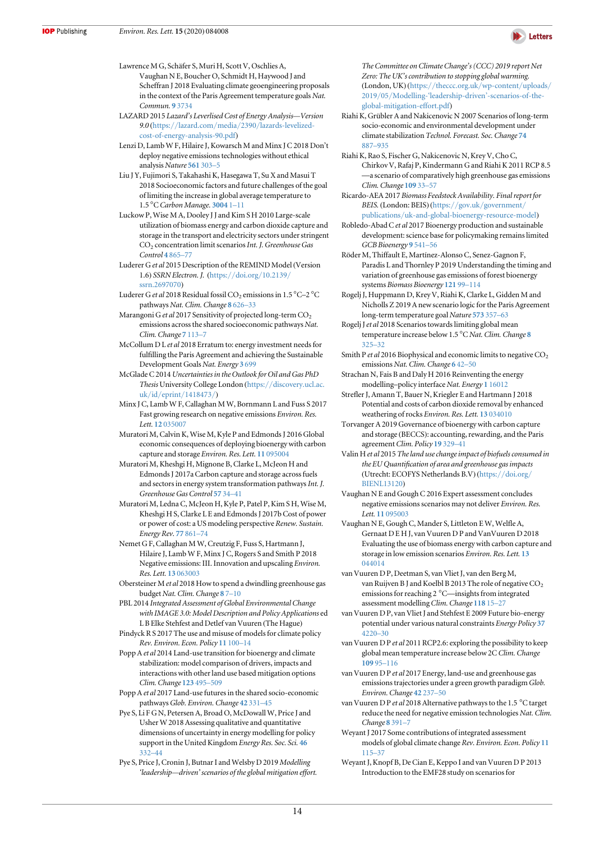

<span id="page-14-0"></span>Lawrence M G, Schäfer S, Muri H, Scott V, Oschlies A, Vaughan N E, Boucher O, Schmidt H, Haywood J and Scheffran J 2018 Evaluating climate geoengineering proposals in the context of the Paris Agreement temperature goals Nat. Commun. 9 [3734](https://doi.org/10.1038/s41467-018-05938-3)

- LAZARD 2015 Lazard's Leverlised Cost of Energy Analysis—Version 9.0 (https://lazard.com/media/2390/[lazards-levelized](https://www.lazard.com/media/2390/lazards-levelized-cost-of-energy-analysis-90.pdf)[cost-of-energy-analysis-90.pdf](https://www.lazard.com/media/2390/lazards-levelized-cost-of-energy-analysis-90.pdf))
- Lenzi D, Lamb W F, Hilaire J, Kowarsch M and Minx J C 2018 Don't deploy negative emissions technologies without ethical analysis Nature [561](https://doi.org/10.1038/d41586-018-06695-5) 303–5
- Liu J Y, Fujimori S, Takahashi K, Hasegawa T, Su X and Masui T 2018 Socioeconomic factors and future challenges of the goal of limiting the increase in global average temperature to 1.5 °C Carbon Manage. [3004](https://doi.org/10.1080/17583004.2018.1477374) 1-11
- Luckow P, Wise M A, Dooley J J and Kim S H 2010 Large-scale utilization of biomass energy and carbon dioxide capture and storage in the transport and electricity sectors under stringent CO<sub>2</sub> concentration limit scenarios Int. J. Greenhouse Gas Control 4 [865](https://doi.org/10.1016/j.ijggc.2010.06.002)-77
- Luderer Get al 2015 Description of the REMIND Model(Version 1.6) SSRN Electron. J. (https://doi.org/[10.2139](https://doi.org/10.2139/ssrn.2697070)/ [ssrn.2697070](https://doi.org/10.2139/ssrn.2697070))
- Luderer G et al 2018 Residual fossil CO<sub>2</sub> emissions in 1.5 °C-2 °C pathways Nat. Clim. Change 8 [626](https://doi.org/10.1038/s41558-018-0198-6)–33
- Marangoni G et al 2017 Sensitivity of projected long-term  $CO<sub>2</sub>$ emissions across the shared socioeconomic pathways Nat. Clim. Change 7 [113](https://doi.org/10.1038/nclimate3199)–7
- McCollum D L et al 2018 Erratum to: energy investment needs for fulfilling the Paris Agreement and achieving the Sustainable Development Goals Nat. Energy 3 [699](https://doi.org/10.1038/s41560-018-0215-z)
- McGlade C 2014 Uncertainties in the Outlook for Oil and Gas PhD Thesis University College London (https://[discovery.ucl.ac.](https://discovery.ucl.ac.uk/id/eprint/1418473/) uk/id/eprint/[1418473](https://discovery.ucl.ac.uk/id/eprint/1418473/)/)
- Minx J C, Lamb W F, Callaghan M W, Bornmann L and Fuss S 2017 Fast growing research on negative emissions Environ. Res. Lett. 12.[035007](https://doi.org/10.1088/1748-9326/aa5ee5)
- Muratori M, Calvin K, Wise M, Kyle P and Edmonds J 2016 Global economic consequences of deploying bioenergy with carbon capture and storage Environ. Res. Lett. 11 [095004](https://doi.org/10.1088/1748-9326/11/9/095004)
- Muratori M, Kheshgi H, Mignone B, Clarke L, McJeon H and Edmonds J 2017a Carbon capture and storage across fuels and sectors in energy system transformation pathways Int. J. Greenhouse Gas Control [57](https://doi.org/10.1016/j.ijggc.2016.11.026) 34–41
- Muratori M, Ledna C, McJeon H, Kyle P, Patel P, Kim S H, Wise M, Kheshgi H S, Clarke L E and Edmonds J 2017b Cost of power or power of cost: a US modeling perspective Renew. Sustain. Energy Rev. 77 [861](https://doi.org/10.1016/j.rser.2017.04.055)–74
- Nemet G F, Callaghan M W, Creutzig F, Fuss S, Hartmann J, Hilaire J, Lamb W F, Minx J C, Rogers S and Smith P 2018 Negative emissions: III. Innovation and upscaling Environ. Res. Lett. 13 [063003](https://doi.org/10.1088/1748-9326/aabff4)
- Obersteiner M et al 2018 How to spend a dwindling greenhouse gas budget Nat. Clim. Change [8](https://doi.org/10.1038/s41558-017-0045-1) 7–[10](https://doi.org/10.1038/s41558-017-0045-1)
- PBL 2014 Integrated Assessment of Global Environmental Change with IMAGE 3.0: Model Description and Policy Applications ed L B Elke Stehfest and Detlef van Vuuren (The Hague)
- Pindyck R S 2017 The use and misuse of models for climate policy Rev. Environ. Econ. Policy 11 [100](https://doi.org/10.1093/reep/rew012)–14
- Popp A et al 2014 Land-use transition for bioenergy and climate stabilization: model comparison of drivers, impacts and interactions with other land use based mitigation options Clim. Change [123](https://doi.org/10.1007/s10584-013-0926-x) 495–509
- Popp A et al 2017 Land-use futures in the shared socio-economic pathways Glob. Environ. Change 42 [331](https://doi.org/10.1016/j.gloenvcha.2016.10.002)-45
- Pye S, Li F G N, Petersen A, Broad O, McDowall W, Price J and Usher W 2018 Assessing qualitative and quantitative dimensions of uncertainty in energy modelling for policy support in the United Kingdom Energy Res. Soc. Sci. [46](https://doi.org/10.1016/j.erss.2018.07.028) [332](https://doi.org/10.1016/j.erss.2018.07.028)–44
- Pye S, Price J, Cronin J, Butnar I and Welsby D 2019 Modelling 'leadership—driven' scenarios of the global mitigation effort.

The Committee on Climate Change's (CCC) 2019 report Net Zero: The UK's contribution to stopping global warming. (London, UK) (https://[theccc.org.uk](https://www.theccc.org.uk/wp-content/uploads/2019/05/Modelling-)/wp-content/uploads/ 2019/05/Modelling-'leadership-driven'[-scenarios-of-the](https://www.theccc.org.uk/wp-content/uploads/2019/05/Modelling-)[global-mitigation-effort.pdf](https://www.theccc.org.uk/wp-content/uploads/2019/05/Modelling-))

- Riahi K, Grübler A and Nakicenovic N 2007 Scenarios of long-term socio-economic and environmental development under climate stabilization Technol. Forecast. Soc. Change [74](https://doi.org/10.1016/j.techfore.2006.05.026) [887](https://doi.org/10.1016/j.techfore.2006.05.026)–935
- Riahi K, Rao S, Fischer G, Nakicenovic N, Krey V, Cho C, Chirkov V, Rafaj P, Kindermann G and Riahi K 2011 RCP 8.5 —a scenario of comparatively high greenhouse gas emissions Clim. Change [109](https://doi.org/10.1007/s10584-011-0149-y) 33–57
- Ricardo-AEA 2017 Biomass Feedstock Availability. Final report for BEIS. (London: BEIS) (https://gov.uk/[government](https://www.gov.uk/government/publications/uk-and-global-bioenergy-resource-model)/ publications/[uk-and-global-bioenergy-resource-model](https://www.gov.uk/government/publications/uk-and-global-bioenergy-resource-model))
- Robledo-Abad C et al 2017 Bioenergy production and sustainable development: science base for policymaking remains limited GCB Bioenergy 9 [541](https://doi.org/10.1111/gcbb.12338)–56
- Röder M, Thiffault E, Martínez-Alonso C, Senez-Gagnon F, Paradis L and Thornley P 2019 Understanding the timing and variation of greenhouse gas emissions of forest bioenergy systems Biomass Bioenergy [121](https://doi.org/10.1016/j.biombioe.2018.12.019) 99–114
- Rogelj J, Huppmann D, Krey V, Riahi K, Clarke L, Gidden M and Nicholls Z 2019 A new scenario logic for the Paris Agreement long-term temperature goal Nature [573](https://doi.org/10.1038/s41586-019-1541-4) 357–63
- Rogelj J et al 2018 Scenarios towards limiting global mean temperature increase below 1.5 °C Nat. Clim. Change [8](https://doi.org/10.1038/s41558-018-0091-3) [325](https://doi.org/10.1038/s41558-018-0091-3)–32
- Smith P et al 2016 Biophysical and economic limits to negative  $CO<sub>2</sub>$ emissions Nat. Clim. Change 6 [42](https://doi.org/10.1038/nclimate2870)–50
- Strachan N, Fais B and Daly H 2016 Reinventing the energy modelling–policy interface Nat. Energy 1 [16012](https://doi.org/10.1038/nenergy.2016.12)
- Strefler J, Amann T, Bauer N, Kriegler E and Hartmann J 2018 Potential and costs of carbon dioxide removal by enhanced weathering of rocks Environ. Res. Lett. 13 [034010](https://doi.org/10.1088/1748-9326/aaa9c4)
- Torvanger A 2019 Governance of bioenergy with carbon capture and storage (BECCS): accounting, rewarding, and the Paris agreement Clim. Policy 19 [329](https://doi.org/10.1080/14693062.2018.1509044)–41
- Valin H et al 2015 The land use change impact of biofuels consumed in the EU Quantification of area and greenhouse gas impacts (Utrecht: ECOFYS Netherlands B.V) (https://[doi.org](https://doi.org/BIENL13120)/ [BIENL13120](https://doi.org/BIENL13120))
- Vaughan N E and Gough C 2016 Expert assessment concludes negative emissions scenarios may not deliver Environ. Res. Lett. 11 [095003](https://doi.org/10.1088/1748-9326/11/9/095003)
- Vaughan N E, Gough C, Mander S, Littleton E W, Welfle A, Gernaat D E H J, van Vuuren D P and VanVuuren D 2018 Evaluating the use of biomass energy with carbon capture and storage in low emission scenarios Environ. Res. Lett. [13](https://doi.org/10.1088/1748-9326/aaaa02) [044014](https://doi.org/10.1088/1748-9326/aaaa02)
- van Vuuren D P, Deetman S, van Vliet J, van den Berg M, van Ruijven B J and Koelbl B 2013 The role of negative  $CO<sub>2</sub>$ emissions for reaching 2 °C—insights from integrated assessment modelling Clim. Change [118](https://doi.org/10.1007/s10584-012-0680-5) 15–27
- van Vuuren D P, van Vliet J and Stehfest E 2009 Future bio-energy potential under various natural constraints Energy Policy [37](https://doi.org/10.1016/j.enpol.2009.05.029) [4220](https://doi.org/10.1016/j.enpol.2009.05.029)–30
- van Vuuren D P et al 2011 RCP2.6: exploring the possibility to keep global mean temperature increase below 2C Clim. Change [109](https://doi.org/10.1007/s10584-011-0152-3) 95–116
- van Vuuren D P et al 2017 Energy, land-use and greenhouse gas emissions trajectories under a green growth paradigm Glob. Environ. Change 42 [237](https://doi.org/10.1016/j.gloenvcha.2016.05.008)–50
- van Vuuren D P et al 2018 Alternative pathways to the 1.5 °C target reduce the need for negative emission technologies Nat. Clim. Change 8 [391](https://doi.org/10.1038/s41558-018-0119-8)–7
- Weyant J 2017 Some contributions of integrated assessment models of global climate change Rev. Environ. Econ. Policy [11](https://doi.org/10.1093/reep/rew018) [115](https://doi.org/10.1093/reep/rew018)–37
- Weyant J, Knopf B, De Cian E, Keppo I and van Vuuren D P 2013 Introduction to the EMF28 study on scenarios for